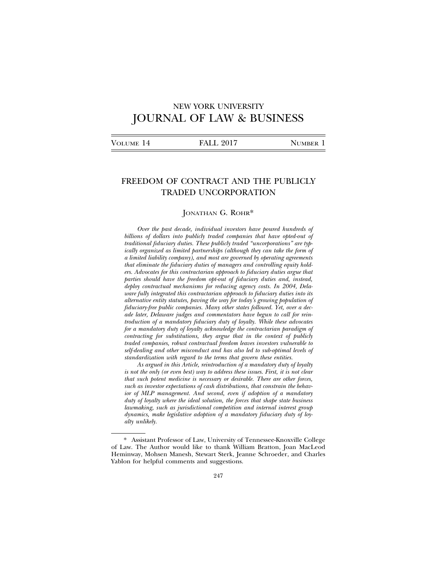# NEW YORK UNIVERSITY JOURNAL OF LAW & BUSINESS

|--|

## FREEDOM OF CONTRACT AND THE PUBLICLY TRADED UNCORPORATION

### JONATHAN G. ROHR\*

*Over the past decade, individual investors have poured hundreds of billions of dollars into publicly traded companies that have opted-out of traditional fiduciary duties. These publicly traded "uncorporations" are typically organized as limited partnerships (although they can take the form of a limited liability company), and most are governed by operating agreements that eliminate the fiduciary duties of managers and controlling equity holders. Advocates for this contractarian approach to fiduciary duties argue that parties should have the freedom opt-out of fiduciary duties and, instead, deploy contractual mechanisms for reducing agency costs. In 2004, Delaware fully integrated this contractarian approach to fiduciary duties into its alternative entity statutes, paving the way for today's growing population of fiduciary-free public companies. Many other states followed. Yet, over a decade later, Delaware judges and commentators have begun to call for reintroduction of a mandatory fiduciary duty of loyalty. While these advocates for a mandatory duty of loyalty acknowledge the contractarian paradigm of contracting for substitutions, they argue that in the context of publicly traded companies, robust contractual freedom leaves investors vulnerable to self-dealing and other misconduct and has also led to sub-optimal levels of standardization with regard to the terms that govern these entities.*

*As argued in this Article, reintroduction of a mandatory duty of loyalty is not the only (or even best) way to address these issues. First, it is not clear that such potent medicine is necessary or desirable. There are other forces, such as investor expectations of cash distributions, that constrain the behavior of MLP management. And second, even if adoption of a mandatory duty of loyalty where the ideal solution, the forces that shape state business lawmaking, such as jurisdictional competition and internal interest group dynamics, make legislative adoption of a mandatory fiduciary duty of loyalty unlikely.*

<sup>\*</sup> Assistant Professor of Law, University of Tennessee-Knoxville College of Law. The Author would like to thank William Bratton, Joan MacLeod Heminway, Mohsen Manesh, Stewart Sterk, Jeanne Schroeder, and Charles Yablon for helpful comments and suggestions.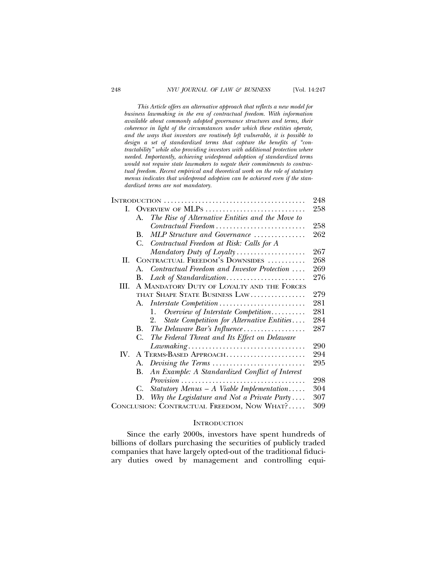*This Article offers an alternative approach that reflects a new model for business lawmaking in the era of contractual freedom. With information available about commonly adopted governance structures and terms, their coherence in light of the circumstances under which these entities operate, and the ways that investors are routinely left vulnerable, it is possible to design a set of standardized terms that capture the benefits of "contractability" while also providing investors with additional protection where needed. Importantly, achieving widespread adoption of standardized terms would not require state lawmakers to negate their commitments to contractual freedom. Recent empirical and theoretical work on the role of statutory menus indicates that widespread adoption can be achieved even if the standardized terms are not mandatory.*

|                                            |                                            |                                                                                           | 248 |
|--------------------------------------------|--------------------------------------------|-------------------------------------------------------------------------------------------|-----|
| L.                                         | OVERVIEW OF MLPS                           |                                                                                           |     |
|                                            | А.                                         | The Rise of Alternative Entities and the Move to                                          |     |
|                                            |                                            | Contractual Freedom                                                                       | 258 |
|                                            | B.                                         | MLP Structure and Governance                                                              | 262 |
|                                            | С.                                         | Contractual Freedom at Risk: Calls for A                                                  |     |
|                                            |                                            | $Mandatory Duty of Loyalty \ldots \ldots \ldots \ldots \ldots$                            | 267 |
| H.                                         |                                            | CONTRACTUAL FREEDOM'S DOWNSIDES                                                           | 268 |
|                                            | $A_{-}$                                    | Contractual Freedom and Investor Protection                                               | 269 |
|                                            | В.                                         |                                                                                           | 276 |
| HI.                                        | A MANDATORY DUTY OF LOYALTY AND THE FORCES |                                                                                           |     |
|                                            |                                            | THAT SHAPE STATE BUSINESS LAW                                                             | 279 |
|                                            | А.                                         |                                                                                           | 281 |
|                                            |                                            | Overview of Interstate Competition<br>1.                                                  | 281 |
|                                            |                                            | State Competition for Alternative Entities<br>2.                                          | 284 |
|                                            | В.                                         |                                                                                           | 287 |
|                                            | С.                                         | The Federal Threat and Its Effect on Delaware                                             |     |
|                                            |                                            | $Law making \ldots \ldots \ldots \ldots \ldots \ldots \ldots \ldots \ldots \ldots \ldots$ | 290 |
| $W_{-}$                                    | A TERMS-BASED APPROACH                     |                                                                                           | 294 |
|                                            | А.                                         |                                                                                           | 295 |
|                                            | В.                                         | An Example: A Standardized Conflict of Interest                                           |     |
|                                            |                                            | $Provision \ldots \ldots \ldots \ldots \ldots \ldots \ldots \ldots \ldots \ldots$         | 298 |
|                                            | C.                                         | Statutory Menus $-A$ Viable Implementation                                                | 304 |
|                                            | D.                                         | Why the Legislature and Not a Private Party                                               | 307 |
| CONCLUSION: CONTRACTUAL FREEDOM, NOW WHAT? |                                            |                                                                                           | 309 |

### **INTRODUCTION**

Since the early 2000s, investors have spent hundreds of billions of dollars purchasing the securities of publicly traded companies that have largely opted-out of the traditional fiduciary duties owed by management and controlling equi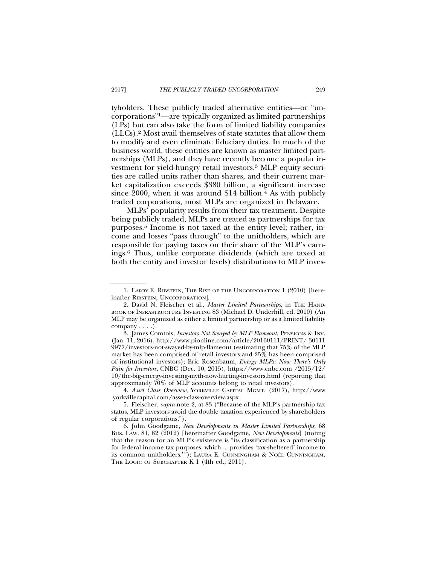tyholders. These publicly traded alternative entities—or "uncorporations"1—are typically organized as limited partnerships (LPs) but can also take the form of limited liability companies (LLCs).2 Most avail themselves of state statutes that allow them to modify and even eliminate fiduciary duties. In much of the business world, these entities are known as master limited partnerships (MLPs), and they have recently become a popular investment for yield-hungry retail investors.3 MLP equity securities are called units rather than shares, and their current market capitalization exceeds \$380 billion, a significant increase since 2000, when it was around \$14 billion.<sup>4</sup> As with publicly traded corporations, most MLPs are organized in Delaware.

MLPs' popularity results from their tax treatment. Despite being publicly traded, MLPs are treated as partnerships for tax purposes.5 Income is not taxed at the entity level; rather, income and losses "pass through" to the unitholders, which are responsible for paying taxes on their share of the MLP's earnings.6 Thus, unlike corporate dividends (which are taxed at both the entity and investor levels) distributions to MLP inves-

<sup>1.</sup> LARRY E. RIBSTEIN, THE RISE OF THE UNCORPORATION 1 (2010) [hereinafter RIBSTEIN, UNCORPORATION].

<sup>2.</sup> David N. Fleischer et al., *Master Limited Partnerships*, in THE HAND-BOOK OF INFRASTRUCTURE INVESTING 83 (Michael D. Underhill, ed. 2010) (An MLP may be organized as either a limited partnership or as a limited liability company . . . .).

<sup>3.</sup> James Comtois, *Investors Not Swayed by MLP Flameout*, PENSIONS & INV. (Jan. 11, 2016), http://www.pionline.com/article/20160111/PRINT/ 30111 9977/investors-not-swayed-by-mlp-flameout (estimating that 75% of the MLP market has been comprised of retail investors and 25% has been comprised of institutional investors); Eric Rosenbaum, *Energy MLPs: Now There's Only Pain for Investors*, CNBC (Dec. 10, 2015), https://www.cnbc.com /2015/12/ 10/the-big-energy-investing-myth-now-hurting-investors.html (reporting that approximately 70% of MLP accounts belong to retail investors).

<sup>4.</sup> *Asset Class Overview*, YORKVILLE CAPITAL MGMT. (2017), http://www .yorkvillecapital.com/asset-class-overview.aspx

<sup>5.</sup> Fleischer, *supra* note 2, at 83 ("Because of the MLP's partnership tax status, MLP investors avoid the double taxation experienced by shareholders of regular corporations.").

<sup>6.</sup> John Goodgame, *New Developments in Master Limited Partnerships*, 68 BUS. LAW. 81, 82 (2012) [hereinafter Goodgame, *New Developments*] (noting that the reason for an MLP's existence is "its classification as a partnership for federal income tax purposes, which. . .provides 'tax-sheltered' income to its common unitholders.'"); LAURA E. CUNNINGHAM & NOEL¨ CUNNINGHAM, THE LOGIC OF SUBCHAPTER K 1 (4th ed., 2011).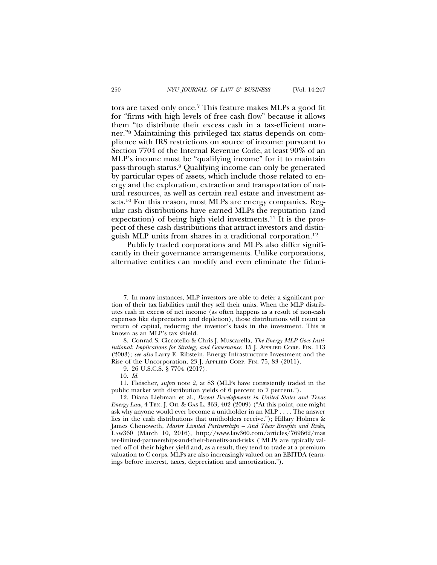tors are taxed only once.7 This feature makes MLPs a good fit for "firms with high levels of free cash flow" because it allows them "to distribute their excess cash in a tax-efficient manner."8 Maintaining this privileged tax status depends on compliance with IRS restrictions on source of income: pursuant to Section 7704 of the Internal Revenue Code, at least 90% of an MLP's income must be "qualifying income" for it to maintain pass-through status.9 Qualifying income can only be generated by particular types of assets, which include those related to energy and the exploration, extraction and transportation of natural resources, as well as certain real estate and investment assets.10 For this reason, most MLPs are energy companies. Regular cash distributions have earned MLPs the reputation (and expectation) of being high yield investments.<sup>11</sup> It is the prospect of these cash distributions that attract investors and distinguish MLP units from shares in a traditional corporation.12

Publicly traded corporations and MLPs also differ significantly in their governance arrangements. Unlike corporations, alternative entities can modify and even eliminate the fiduci-

<sup>7.</sup> In many instances, MLP investors are able to defer a significant portion of their tax liabilities until they sell their units. When the MLP distributes cash in excess of net income (as often happens as a result of non-cash expenses like depreciation and depletion), those distributions will count as return of capital, reducing the investor's basis in the investment. This is known as an MLP's tax shield.

<sup>8.</sup> Conrad S. Ciccotello & Chris J. Muscarella, *The Energy MLP Goes Institutional: Implications for Strategy and Governance*, 15 J. APPLIED CORP. FIN. 113 (2003); *see also* Larry E. Ribstein, Energy Infrastructure Investment and the Rise of the Uncorporation, 23 J. APPLIED CORP. FIN. 75, 83 (2011).

<sup>9. 26</sup> U.S.C.S. § 7704 (2017).

<sup>10.</sup> *Id.*

<sup>11.</sup> Fleischer, *supra* note 2, at 83 (MLPs have consistently traded in the public market with distribution yields of 6 percent to 7 percent.").

<sup>12.</sup> Diana Liebman et al., *Recent Developments in United States and Texas Energy Law*, 4 TEX. J. OIL & GAS L. 363, 402 (2009) ("At this point, one might ask why anyone would ever become a unitholder in an MLP . . . . The answer lies in the cash distributions that unitholders receive."); Hillary Holmes & James Chenoweth, *Master Limited Partnerships – And Their Benefits and Risks*, LAW360 (March 10, 2016), http://www.law360.com/articles/769662/mas ter-limited-partnerships-and-their-benefits-and-risks ("MLPs are typically valued off of their higher yield and, as a result, they tend to trade at a premium valuation to C corps. MLPs are also increasingly valued on an EBITDA (earnings before interest, taxes, depreciation and amortization.").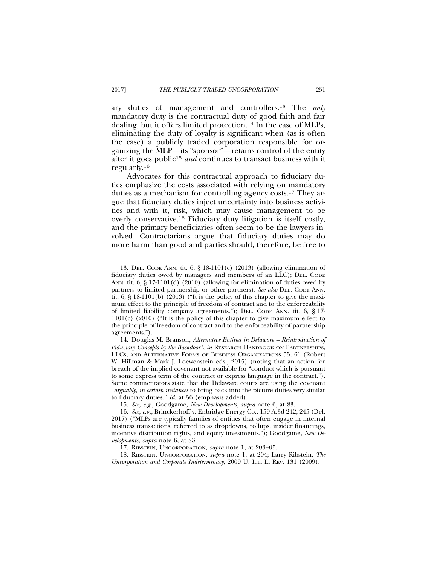ary duties of management and controllers.13 The *only* mandatory duty is the contractual duty of good faith and fair dealing, but it offers limited protection.14 In the case of MLPs, eliminating the duty of loyalty is significant when (as is often the case) a publicly traded corporation responsible for or-

ganizing the MLP—its "sponsor"—retains control of the entity

after it goes public<sup>15</sup> and continues to transact business with it regularly.16

Advocates for this contractual approach to fiduciary duties emphasize the costs associated with relying on mandatory duties as a mechanism for controlling agency costs.17 They argue that fiduciary duties inject uncertainty into business activities and with it, risk, which may cause management to be overly conservative.18 Fiduciary duty litigation is itself costly, and the primary beneficiaries often seem to be the lawyers involved. Contractarians argue that fiduciary duties may do more harm than good and parties should, therefore, be free to

18. RIBSTEIN, UNCORPORATION, *supra* note 1, at 204; Larry Ribstein, *The Uncorporation and Corporate Indeterminacy*, 2009 U. ILL. L. REV. 131 (2009).

<sup>13.</sup> DEL. CODE ANN. tit. 6, § 18-1101(c) (2013) (allowing elimination of fiduciary duties owed by managers and members of an LLC); DEL. CODE ANN. tit. 6, § 17-1101(d) (2010) (allowing for elimination of duties owed by partners to limited partnership or other partners). *See also* DEL. CODE ANN. tit.  $6, \S$  18-1101(b) (2013) ("It is the policy of this chapter to give the maximum effect to the principle of freedom of contract and to the enforceability of limited liability company agreements."); DEL. CODE ANN. tit. 6, § 17- 1101(c) (2010) ("It is the policy of this chapter to give maximum effect to the principle of freedom of contract and to the enforceability of partnership agreements.").

<sup>14.</sup> Douglas M. Branson, *Alternative Entities in Delaware – Reintroduction of Fiduciary Concepts by the Backdoor?*, *in* RESEARCH HANDBOOK ON PARTNERSHIPS, LLCS, AND ALTERNATIVE FORMS OF BUSINESS ORGANIZATIONS 55, 61 (Robert W. Hillman & Mark J. Loewenstein eds., 2015) (noting that an action for breach of the implied covenant not available for "conduct which is pursuant to some express term of the contract or express language in the contract."). Some commentators state that the Delaware courts are using the covenant "*arguably, in certain instances* to bring back into the picture duties very similar to fiduciary duties." *Id.* at 56 (emphasis added).

<sup>15.</sup> *See, e.g.*, Goodgame, *New Developments*, *supra* note 6, at 83.

<sup>16.</sup> *See, e.g.*, Brinckerhoff v. Enbridge Energy Co., 159 A.3d 242, 245 (Del. 2017) ("MLPs are typically families of entities that often engage in internal business transactions, referred to as dropdowns, rollups, insider financings, incentive distribution rights, and equity investments."); Goodgame, *New Developments*, *supra* note 6, at 83.

<sup>17.</sup> RIBSTEIN, UNCORPORATION, *supra* note 1, at 203–05.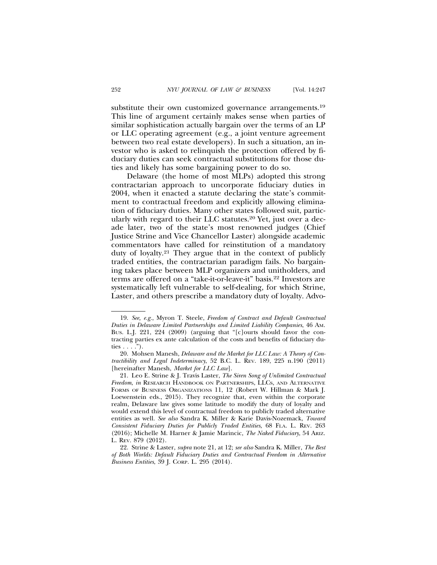substitute their own customized governance arrangements.<sup>19</sup> This line of argument certainly makes sense when parties of similar sophistication actually bargain over the terms of an LP or LLC operating agreement (e.g., a joint venture agreement between two real estate developers). In such a situation, an investor who is asked to relinquish the protection offered by fiduciary duties can seek contractual substitutions for those duties and likely has some bargaining power to do so.

Delaware (the home of most MLPs) adopted this strong contractarian approach to uncorporate fiduciary duties in 2004, when it enacted a statute declaring the state's commitment to contractual freedom and explicitly allowing elimination of fiduciary duties. Many other states followed suit, particularly with regard to their LLC statutes.20 Yet, just over a decade later, two of the state's most renowned judges (Chief Justice Strine and Vice Chancellor Laster) alongside academic commentators have called for reinstitution of a mandatory duty of loyalty.21 They argue that in the context of publicly traded entities, the contractarian paradigm fails. No bargaining takes place between MLP organizers and unitholders, and terms are offered on a "take-it-or-leave-it" basis.22 Investors are systematically left vulnerable to self-dealing, for which Strine, Laster, and others prescribe a mandatory duty of loyalty. Advo-

<sup>19.</sup> *See, e.g.*, Myron T. Steele, *Freedom of Contract and Default Contractual Duties in Delaware Limited Partnerships and Limited Liability Companies*, 46 AM. BUS. L.J. 221, 224 (2009) (arguing that "[c]ourts should favor the contracting parties ex ante calculation of the costs and benefits of fiduciary duties  $\ldots$ .").

<sup>20.</sup> Mohsen Manesh, *Delaware and the Market for LLC Law: A Theory of Contractibility and Legal Indeterminacy*, 52 B.C. L. REV. 189, 225 n.190 (2011) [hereinafter Manesh, *Market for LLC Law*].

<sup>21.</sup> Leo E. Strine & J. Travis Laster, *The Siren Song of Unlimited Contractual Freedom*, *in* RESEARCH HANDBOOK ON PARTNERSHIPS, LLCS, AND ALTERNATIVE FORMS OF BUSINESS ORGANIZATIONS 11, 12 (Robert W. Hillman & Mark J. Loewenstein eds., 2015). They recognize that, even within the corporate realm, Delaware law gives some latitude to modify the duty of loyalty and would extend this level of contractual freedom to publicly traded alternative entities as well. *See also* Sandra K. Miller & Karie Davis-Nozemack, *Toward Consistent Fiduciary Duties for Publicly Traded Entities*, 68 FLA. L. REV. 263 (2016); Michelle M. Harner & Jamie Marincic, *The Naked Fiduciary*, 54 ARIZ. L. REV. 879 (2012).

<sup>22.</sup> Strine & Laster, *supra* note 21, at 12; *see also* Sandra K. Miller, *The Best of Both Worlds: Default Fiduciary Duties and Contractual Freedom in Alternative Business Entities*, 39 J. CORP. L. 295 (2014).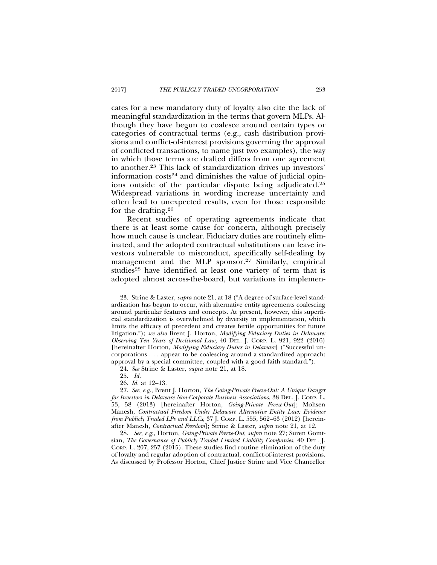cates for a new mandatory duty of loyalty also cite the lack of meaningful standardization in the terms that govern MLPs. Although they have begun to coalesce around certain types or categories of contractual terms (e.g., cash distribution provisions and conflict-of-interest provisions governing the approval of conflicted transactions, to name just two examples), the way in which those terms are drafted differs from one agreement to another.23 This lack of standardization drives up investors' information  $costs<sup>24</sup>$  and diminishes the value of judicial opinions outside of the particular dispute being adjudicated.25 Widespread variations in wording increase uncertainty and often lead to unexpected results, even for those responsible for the drafting.26

Recent studies of operating agreements indicate that there is at least some cause for concern, although precisely how much cause is unclear. Fiduciary duties are routinely eliminated, and the adopted contractual substitutions can leave investors vulnerable to misconduct, specifically self-dealing by management and the MLP sponsor.<sup>27</sup> Similarly, empirical studies<sup>28</sup> have identified at least one variety of term that is adopted almost across-the-board, but variations in implemen-

<sup>23.</sup> Strine & Laster, *supra* note 21, at 18 ("A degree of surface-level standardization has begun to occur, with alternative entity agreements coalescing around particular features and concepts. At present, however, this superficial standardization is overwhelmed by diversity in implementation, which limits the efficacy of precedent and creates fertile opportunities for future litigation."); *see also* Brent J. Horton, *Modifying Fiduciary Duties in Delaware: Observing Ten Years of Decisional Law*, 40 DEL. J. CORP. L. 921, 922 (2016) [hereinafter Horton, *Modifying Fiduciary Duties in Delaware*] ("Successful uncorporations . . . appear to be coalescing around a standardized approach: approval by a special committee, coupled with a good faith standard.").

<sup>24.</sup> *See* Strine & Laster, *supra* note 21, at 18.

<sup>25.</sup> *Id.*

<sup>26.</sup> *Id.* at 12–13.

<sup>27.</sup> *See*, *e.g.*, Brent J. Horton, *The Going-Private Freeze-Out: A Unique Danger for Investors in Delaware Non-Corporate Business Associations*, 38 DEL. J. CORP. L. 53, 58 (2013) [hereinafter Horton, *Going-Private Freeze-Out*]; Mohsen Manesh, *Contractual Freedom Under Delaware Alternative Entity Law: Evidence from Publicly Traded LPs and LLCs*, 37 J. CORP. L. 555, 562–63 (2012) [hereinafter Manesh, *Contractual Freedom*]; Strine & Laster, *supra* note 21, at 12.

<sup>28.</sup> *See, e.g.*, Horton, *Going-Private Freeze-Out*, *supra* note 27; Suren Gomtsian, *The Governance of Publicly Traded Limited Liability Companies,* 40 DEL. J. CORP. L. 207, 257 (2015). These studies find routine elimination of the duty of loyalty and regular adoption of contractual, conflict-of-interest provisions. As discussed by Professor Horton, Chief Justice Strine and Vice Chancellor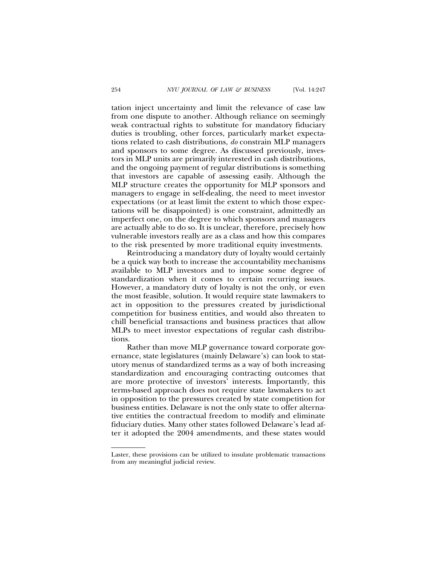tation inject uncertainty and limit the relevance of case law from one dispute to another. Although reliance on seemingly weak contractual rights to substitute for mandatory fiduciary duties is troubling, other forces, particularly market expectations related to cash distributions, *do* constrain MLP managers and sponsors to some degree. As discussed previously, investors in MLP units are primarily interested in cash distributions, and the ongoing payment of regular distributions is something that investors are capable of assessing easily. Although the MLP structure creates the opportunity for MLP sponsors and managers to engage in self-dealing, the need to meet investor expectations (or at least limit the extent to which those expectations will be disappointed) is one constraint, admittedly an imperfect one, on the degree to which sponsors and managers are actually able to do so. It is unclear, therefore, precisely how vulnerable investors really are as a class and how this compares to the risk presented by more traditional equity investments.

Reintroducing a mandatory duty of loyalty would certainly be a quick way both to increase the accountability mechanisms available to MLP investors and to impose some degree of standardization when it comes to certain recurring issues. However, a mandatory duty of loyalty is not the only, or even the most feasible, solution. It would require state lawmakers to act in opposition to the pressures created by jurisdictional competition for business entities, and would also threaten to chill beneficial transactions and business practices that allow MLPs to meet investor expectations of regular cash distributions.

Rather than move MLP governance toward corporate governance, state legislatures (mainly Delaware's) can look to statutory menus of standardized terms as a way of both increasing standardization and encouraging contracting outcomes that are more protective of investors' interests. Importantly, this terms-based approach does not require state lawmakers to act in opposition to the pressures created by state competition for business entities. Delaware is not the only state to offer alternative entities the contractual freedom to modify and eliminate fiduciary duties. Many other states followed Delaware's lead after it adopted the 2004 amendments, and these states would

Laster, these provisions can be utilized to insulate problematic transactions from any meaningful judicial review.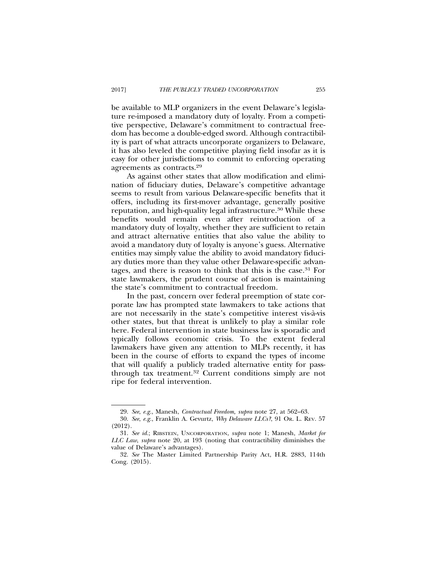be available to MLP organizers in the event Delaware's legislature re-imposed a mandatory duty of loyalty. From a competitive perspective, Delaware's commitment to contractual freedom has become a double-edged sword. Although contractibility is part of what attracts uncorporate organizers to Delaware, it has also leveled the competitive playing field insofar as it is easy for other jurisdictions to commit to enforcing operating agreements as contracts.29

As against other states that allow modification and elimination of fiduciary duties, Delaware's competitive advantage seems to result from various Delaware-specific benefits that it offers, including its first-mover advantage, generally positive reputation, and high-quality legal infrastructure.30 While these benefits would remain even after reintroduction of a mandatory duty of loyalty, whether they are sufficient to retain and attract alternative entities that also value the ability to avoid a mandatory duty of loyalty is anyone's guess. Alternative entities may simply value the ability to avoid mandatory fiduciary duties more than they value other Delaware-specific advantages, and there is reason to think that this is the case.31 For state lawmakers, the prudent course of action is maintaining the state's commitment to contractual freedom.

In the past, concern over federal preemption of state corporate law has prompted state lawmakers to take actions that are not necessarily in the state's competitive interest vis-a-vis ` other states, but that threat is unlikely to play a similar role here. Federal intervention in state business law is sporadic and typically follows economic crisis. To the extent federal lawmakers have given any attention to MLPs recently, it has been in the course of efforts to expand the types of income that will qualify a publicly traded alternative entity for passthrough tax treatment.32 Current conditions simply are not ripe for federal intervention.

<sup>29.</sup> *See*, *e.g.*, Manesh, *Contractual Freedom, supra* note 27, at 562–63.

<sup>30.</sup> *See*, *e.g.*, Franklin A. Gevurtz, *Why Delaware LLCs?*, 91 OR. L. REV. 57 (2012).

<sup>31.</sup> *See id.*; RIBSTEIN, UNCORPORATION, *supra* note 1; Manesh, *Market for LLC Law*, *supra* note 20, at 193 (noting that contractibility diminishes the value of Delaware's advantages).

<sup>32.</sup> *See* The Master Limited Partnership Parity Act, H.R. 2883, 114th Cong. (2015).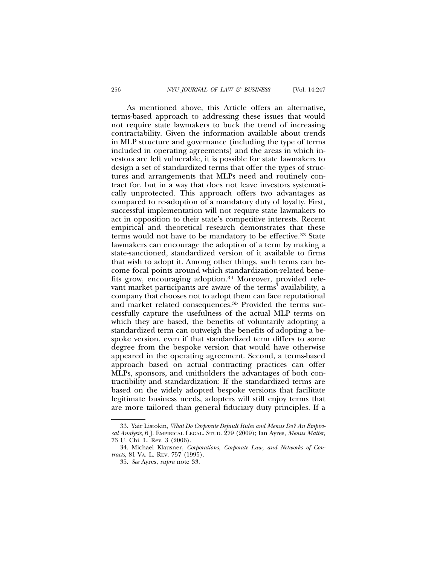As mentioned above, this Article offers an alternative, terms-based approach to addressing these issues that would not require state lawmakers to buck the trend of increasing contractability. Given the information available about trends in MLP structure and governance (including the type of terms included in operating agreements) and the areas in which investors are left vulnerable, it is possible for state lawmakers to design a set of standardized terms that offer the types of structures and arrangements that MLPs need and routinely contract for, but in a way that does not leave investors systematically unprotected. This approach offers two advantages as compared to re-adoption of a mandatory duty of loyalty. First, successful implementation will not require state lawmakers to act in opposition to their state's competitive interests. Recent empirical and theoretical research demonstrates that these terms would not have to be mandatory to be effective.33 State lawmakers can encourage the adoption of a term by making a state-sanctioned, standardized version of it available to firms that wish to adopt it. Among other things, such terms can become focal points around which standardization-related benefits grow, encouraging adoption.<sup>34</sup> Moreover, provided relevant market participants are aware of the terms' availability, a company that chooses not to adopt them can face reputational and market related consequences.<sup>35</sup> Provided the terms successfully capture the usefulness of the actual MLP terms on which they are based, the benefits of voluntarily adopting a standardized term can outweigh the benefits of adopting a bespoke version, even if that standardized term differs to some degree from the bespoke version that would have otherwise appeared in the operating agreement. Second, a terms-based approach based on actual contracting practices can offer MLPs, sponsors, and unitholders the advantages of both contractibility and standardization: If the standardized terms are based on the widely adopted bespoke versions that facilitate legitimate business needs, adopters will still enjoy terms that are more tailored than general fiduciary duty principles. If a

<sup>33.</sup> Yair Listokin, *What Do Corporate Default Rules and Menus Do? An Empirical Analysis*, 6 J. EMPIRICAL LEGAL. STUD. 279 (2009); Ian Ayres, *Menus Matter*, 73 U. Chi. L. Rev. 3 (2006).

<sup>34.</sup> Michael Klausner, *Corporations, Corporate Law, and Networks of Contracts*, 81 VA. L. REV. 757 (1995).

<sup>35.</sup> *See* Ayres, *supra* note 33.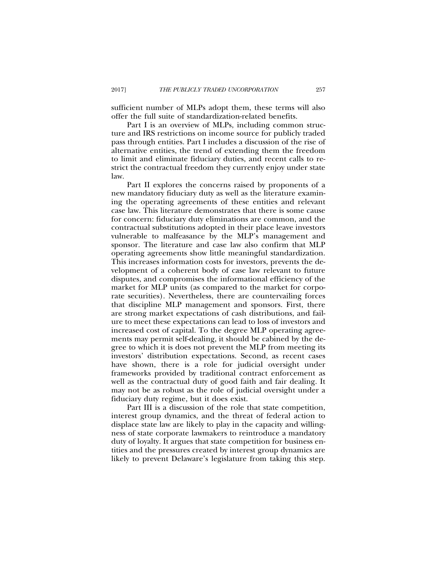sufficient number of MLPs adopt them, these terms will also offer the full suite of standardization-related benefits.

Part I is an overview of MLPs, including common structure and IRS restrictions on income source for publicly traded pass through entities. Part I includes a discussion of the rise of alternative entities, the trend of extending them the freedom to limit and eliminate fiduciary duties, and recent calls to restrict the contractual freedom they currently enjoy under state law.

Part II explores the concerns raised by proponents of a new mandatory fiduciary duty as well as the literature examining the operating agreements of these entities and relevant case law. This literature demonstrates that there is some cause for concern: fiduciary duty eliminations are common, and the contractual substitutions adopted in their place leave investors vulnerable to malfeasance by the MLP's management and sponsor. The literature and case law also confirm that MLP operating agreements show little meaningful standardization. This increases information costs for investors, prevents the development of a coherent body of case law relevant to future disputes, and compromises the informational efficiency of the market for MLP units (as compared to the market for corporate securities). Nevertheless, there are countervailing forces that discipline MLP management and sponsors. First, there are strong market expectations of cash distributions, and failure to meet these expectations can lead to loss of investors and increased cost of capital. To the degree MLP operating agreements may permit self-dealing, it should be cabined by the degree to which it is does not prevent the MLP from meeting its investors' distribution expectations. Second, as recent cases have shown, there is a role for judicial oversight under frameworks provided by traditional contract enforcement as well as the contractual duty of good faith and fair dealing. It may not be as robust as the role of judicial oversight under a fiduciary duty regime, but it does exist.

Part III is a discussion of the role that state competition, interest group dynamics, and the threat of federal action to displace state law are likely to play in the capacity and willingness of state corporate lawmakers to reintroduce a mandatory duty of loyalty. It argues that state competition for business entities and the pressures created by interest group dynamics are likely to prevent Delaware's legislature from taking this step.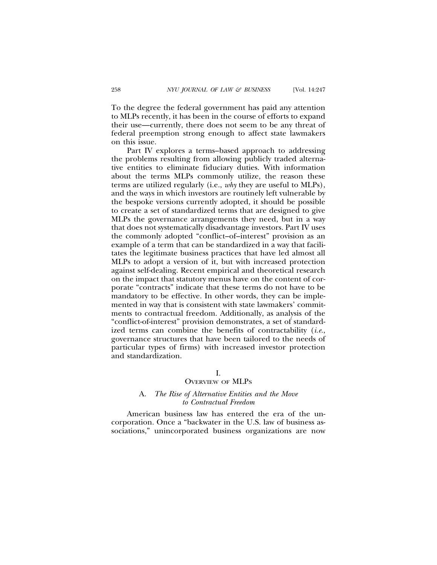To the degree the federal government has paid any attention to MLPs recently, it has been in the course of efforts to expand their use—currently, there does not seem to be any threat of federal preemption strong enough to affect state lawmakers on this issue.

Part IV explores a terms–based approach to addressing the problems resulting from allowing publicly traded alternative entities to eliminate fiduciary duties. With information about the terms MLPs commonly utilize, the reason these terms are utilized regularly (i.e., *why* they are useful to MLPs), and the ways in which investors are routinely left vulnerable by the bespoke versions currently adopted, it should be possible to create a set of standardized terms that are designed to give MLPs the governance arrangements they need, but in a way that does not systematically disadvantage investors. Part IV uses the commonly adopted "conflict–of–interest" provision as an example of a term that can be standardized in a way that facilitates the legitimate business practices that have led almost all MLPs to adopt a version of it, but with increased protection against self-dealing. Recent empirical and theoretical research on the impact that statutory menus have on the content of corporate "contracts" indicate that these terms do not have to be mandatory to be effective. In other words, they can be implemented in way that is consistent with state lawmakers' commitments to contractual freedom. Additionally, as analysis of the "conflict-of-interest" provision demonstrates, a set of standardized terms can combine the benefits of contractability (*i.e.*, governance structures that have been tailored to the needs of particular types of firms) with increased investor protection and standardization.

### I.

### OVERVIEW OF MLPS

### A. *The Rise of Alternative Entities and the Move to Contractual Freedom*

American business law has entered the era of the uncorporation. Once a "backwater in the U.S. law of business associations," unincorporated business organizations are now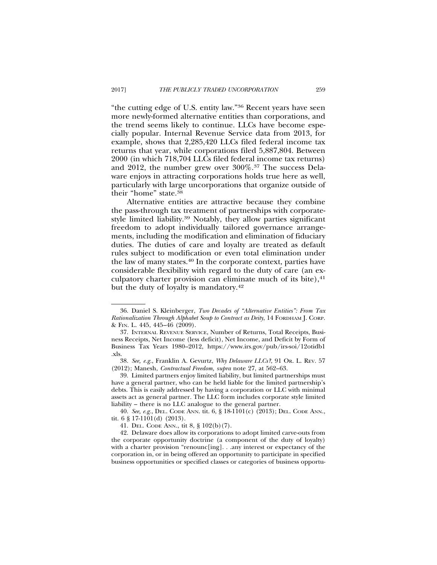"the cutting edge of U.S. entity law."36 Recent years have seen more newly-formed alternative entities than corporations, and the trend seems likely to continue. LLCs have become especially popular. Internal Revenue Service data from 2013, for example, shows that 2,285,420 LLCs filed federal income tax returns that year, while corporations filed 5,887,804. Between 2000 (in which 718,704 LLCs filed federal income tax returns) and 2012, the number grew over 300%.37 The success Delaware enjoys in attracting corporations holds true here as well, particularly with large uncorporations that organize outside of their "home" state.38

Alternative entities are attractive because they combine the pass-through tax treatment of partnerships with corporatestyle limited liability.39 Notably, they allow parties significant freedom to adopt individually tailored governance arrangements, including the modification and elimination of fiduciary duties. The duties of care and loyalty are treated as default rules subject to modification or even total elimination under the law of many states.40 In the corporate context, parties have considerable flexibility with regard to the duty of care (an exculpatory charter provision can eliminate much of its bite), $41$ but the duty of loyalty is mandatory.42

<sup>36.</sup> Daniel S. Kleinberger, *Two Decades of "Alternative Entities": From Tax Rationalization Through Alphabet Soup to Contract as Deity*, 14 FORDHAM J. CORP. & FIN. L. 445, 445–46 (2009).

<sup>37.</sup> INTERNAL REVENUE SERVICE, Number of Returns, Total Receipts, Business Receipts, Net Income (less deficit), Net Income, and Deficit by Form of Business Tax Years 1980–2012, https://www.irs.gov/pub/irs-soi/12otidb1 .xls.

<sup>38.</sup> *See, e.g.*, Franklin A. Gevurtz, *Why Delaware LLCs?*, 91 OR. L. REV. 57 (2012); Manesh, *Contractual Freedom, supra* note 27, at 562–63.

<sup>39.</sup> Limited partners enjoy limited liability, but limited partnerships must have a general partner, who can be held liable for the limited partnership's debts. This is easily addressed by having a corporation or LLC with minimal assets act as general partner. The LLC form includes corporate style limited liability – there is no LLC analogue to the general partner.

<sup>40.</sup> *See, e.g.*, DEL. CODE ANN. tit. 6, § 18-1101(c) (2013); DEL. CODE ANN., tit. 6 § 17-1101(d) (2013).

<sup>41.</sup> DEL. CODE ANN., tit 8, § 102(b)(7).

<sup>42.</sup> Delaware does allow its corporations to adopt limited carve-outs from the corporate opportunity doctrine (a component of the duty of loyalty) with a charter provision "renounc[ing]. . .any interest or expectancy of the corporation in, or in being offered an opportunity to participate in specified business opportunities or specified classes or categories of business opportu-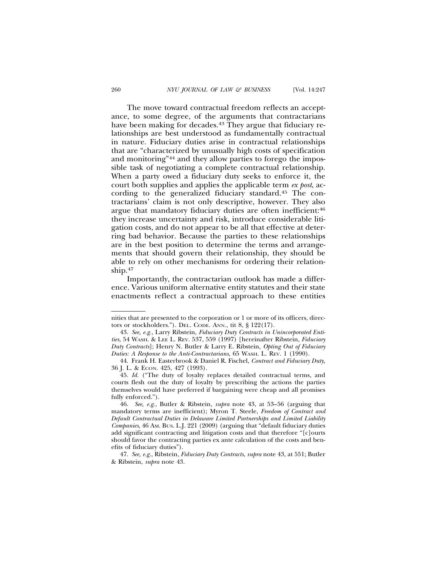The move toward contractual freedom reflects an acceptance, to some degree, of the arguments that contractarians have been making for decades.<sup>43</sup> They argue that fiduciary relationships are best understood as fundamentally contractual in nature. Fiduciary duties arise in contractual relationships that are "characterized by unusually high costs of specification and monitoring"44 and they allow parties to forego the impossible task of negotiating a complete contractual relationship. When a party owed a fiduciary duty seeks to enforce it, the court both supplies and applies the applicable term *ex post*, according to the generalized fiduciary standard.45 The contractarians' claim is not only descriptive, however. They also argue that mandatory fiduciary duties are often inefficient:<sup>46</sup> they increase uncertainty and risk, introduce considerable litigation costs, and do not appear to be all that effective at deterring bad behavior. Because the parties to these relationships are in the best position to determine the terms and arrangements that should govern their relationship, they should be able to rely on other mechanisms for ordering their relationship.47

Importantly, the contractarian outlook has made a difference. Various uniform alternative entity statutes and their state enactments reflect a contractual approach to these entities

nities that are presented to the corporation or 1 or more of its officers, directors or stockholders."). DEL. CODE. ANN., tit 8, § 122(17).

<sup>43.</sup> *See, e.g.*, Larry Ribstein, *Fiduciary Duty Contracts in Unincorporated Entities*, 54 WASH. & LEE L. REV. 537, 559 (1997) [hereinafter Ribstein, *Fiduciary Duty Contracts*]; Henry N. Butler & Larry E. Ribstein, *Opting Out of Fiduciary Duties: A Response to the Anti-Contractarians*, 65 WASH. L. REV. 1 (1990).

<sup>44.</sup> Frank H. Easterbrook & Daniel R. Fischel, *Contract and Fiduciary Duty*, 36 J. L. & ECON. 425, 427 (1993).

<sup>45.</sup> *Id.* ("The duty of loyalty replaces detailed contractual terms, and courts flesh out the duty of loyalty by prescribing the actions the parties themselves would have preferred if bargaining were cheap and all promises fully enforced.").

<sup>46.</sup> *See, e.g.*, Butler & Ribstein, *supra* note 43, at 53–56 (arguing that mandatory terms are inefficient); Myron T. Steele, *Freedom of Contract and Default Contractual Duties in Delaware Limited Partnerships and Limited Liability Companies*, 46 AM. BUS. L.J. 221 (2009) (arguing that "default fiduciary duties add significant contracting and litigation costs and that therefore "[c]ourts should favor the contracting parties ex ante calculation of the costs and benefits of fiduciary duties").

<sup>47.</sup> *See, e.g.*, Ribstein, *Fiduciary Duty Contracts*, *supra* note 43, at 551; Butler & Ribstein, *supra* note 43.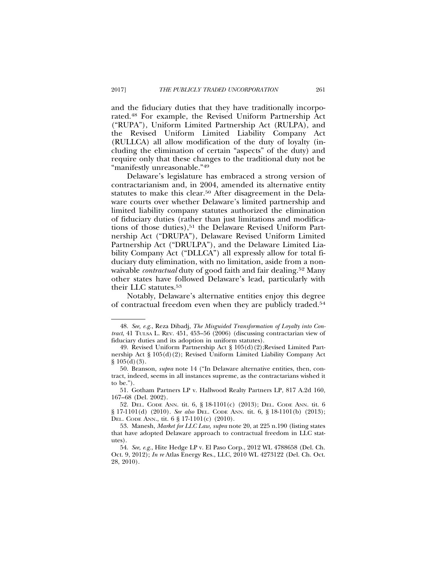and the fiduciary duties that they have traditionally incorporated.48 For example, the Revised Uniform Partnership Act ("RUPA"), Uniform Limited Partnership Act (RULPA), and the Revised Uniform Limited Liability Company Act (RULLCA) all allow modification of the duty of loyalty (including the elimination of certain "aspects" of the duty) and require only that these changes to the traditional duty not be "manifestly unreasonable."49

Delaware's legislature has embraced a strong version of contractarianism and, in 2004, amended its alternative entity statutes to make this clear.<sup>50</sup> After disagreement in the Delaware courts over whether Delaware's limited partnership and limited liability company statutes authorized the elimination of fiduciary duties (rather than just limitations and modifications of those duties),<sup>51</sup> the Delaware Revised Uniform Partnership Act ("DRUPA"), Delaware Revised Uniform Limited Partnership Act ("DRULPA"), and the Delaware Limited Liability Company Act ("DLLCA") all expressly allow for total fiduciary duty elimination, with no limitation, aside from a nonwaivable *contractual* duty of good faith and fair dealing.52 Many other states have followed Delaware's lead, particularly with their LLC statutes.53

Notably, Delaware's alternative entities enjoy this degree of contractual freedom even when they are publicly traded.54

<sup>48.</sup> *See, e.g.*, Reza Dibadj, *The Misguided Transformation of Loyalty into Contract*, 41 TULSA L. REV. 451, 453–56 (2006) (discussing contractarian view of fiduciary duties and its adoption in uniform statutes).

<sup>49.</sup> Revised Uniform Partnership Act § 105(d)(2);Revised Limited Partnership Act § 105(d)(2); Revised Uniform Limited Liability Company Act  $§ 105(d)(3).$ 

<sup>50.</sup> Branson, *supra* note 14 ("In Delaware alternative entities, then, contract, indeed, seems in all instances supreme, as the contractarians wished it to be.").

<sup>51.</sup> Gotham Partners LP v. Hallwood Realty Partners LP, 817 A.2d 160, 167–68 (Del. 2002).

<sup>52.</sup> DEL. CODE ANN. tit. 6, § 18-1101(c) (2013); DEL. CODE ANN. tit. 6 § 17-1101(d) (2010). *See also* DEL. CODE ANN. tit. 6, § 18-1101(b) (2013); DEL. CODE ANN., tit. 6 § 17-1101(c) (2010).

<sup>53.</sup> Manesh, *Market for LLC Law, supra* note 20, at 225 n.190 (listing states that have adopted Delaware approach to contractual freedom in LLC statutes).

<sup>54.</sup> *See, e.g.*, Hite Hedge LP v. El Paso Corp., 2012 WL 4788658 (Del. Ch. Oct. 9, 2012); *In re* Atlas Energy Res., LLC, 2010 WL 4273122 (Del. Ch. Oct. 28, 2010).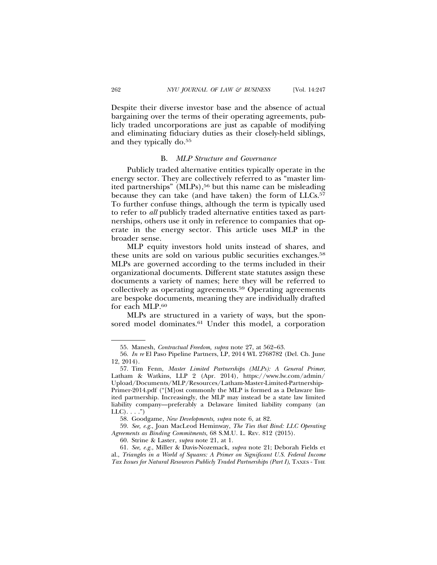Despite their diverse investor base and the absence of actual bargaining over the terms of their operating agreements, publicly traded uncorporations are just as capable of modifying and eliminating fiduciary duties as their closely-held siblings, and they typically do.55

### B. *MLP Structure and Governance*

Publicly traded alternative entities typically operate in the energy sector. They are collectively referred to as "master limited partnerships" (MLPs),<sup>56</sup> but this name can be misleading because they can take (and have taken) the form of LLCs.<sup>57</sup> To further confuse things, although the term is typically used to refer to *all* publicly traded alternative entities taxed as partnerships, others use it only in reference to companies that operate in the energy sector. This article uses MLP in the broader sense.

MLP equity investors hold units instead of shares, and these units are sold on various public securities exchanges.<sup>58</sup> MLPs are governed according to the terms included in their organizational documents. Different state statutes assign these documents a variety of names; here they will be referred to collectively as operating agreements.59 Operating agreements are bespoke documents, meaning they are individually drafted for each MLP.60

MLPs are structured in a variety of ways, but the sponsored model dominates.<sup>61</sup> Under this model, a corporation

58. Goodgame, *New Developments, supra* note 6, at 82.

<sup>55.</sup> Manesh, *Contractual Freedom, supra* note 27, at 562–63.

<sup>56.</sup> *In re* El Paso Pipeline Partners, LP, 2014 WL 2768782 (Del. Ch. June 12, 2014).

<sup>57.</sup> Tim Fenn, *Master Limited Partnerships (MLPs): A General Primer*, Latham & Watkins, LLP 2 (Apr. 2014), https://www.lw.com/admin/ Upload/Documents/MLP/Resources/Latham-Master-Limited-Partnership-Primer-2014.pdf ("[M]ost commonly the MLP is formed as a Delaware limited partnership. Increasingly, the MLP may instead be a state law limited liability company—preferably a Delaware limited liability company (an  $LLC$ ).  $\ldots$ ")

<sup>59.</sup> *See, e.g.*, Joan MacLeod Heminway, *The Ties that Bind: LLC Operating Agreements as Binding Commitments*, 68 S.M.U. L. REV. 812 (2015).

<sup>60.</sup> Strine & Laster, *supra* note 21, at 1.

<sup>61.</sup> *See, e.g.*, Miller & Davis-Nozemack, *supra* note 21; Deborah Fields et al., *Triangles in a World of Squares: A Primer on Significant U.S. Federal Income Tax Issues for Natural Resources Publicly Traded Partnerships (Part I)*, TAXES - THE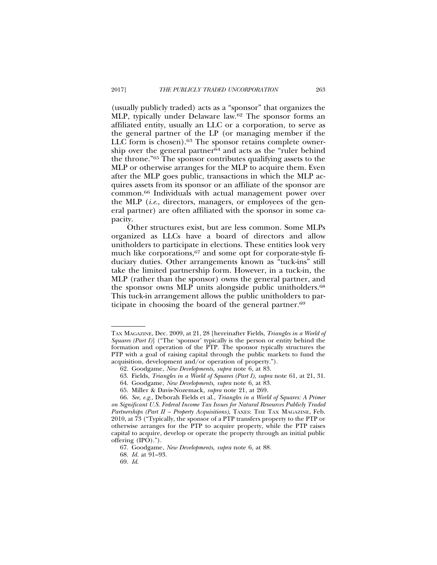(usually publicly traded) acts as a "sponsor" that organizes the MLP, typically under Delaware law.62 The sponsor forms an affiliated entity, usually an LLC or a corporation, to serve as the general partner of the LP (or managing member if the LLC form is chosen).<sup>63</sup> The sponsor retains complete ownership over the general partner<sup>64</sup> and acts as the "ruler behind the throne."65 The sponsor contributes qualifying assets to the MLP or otherwise arranges for the MLP to acquire them. Even after the MLP goes public, transactions in which the MLP acquires assets from its sponsor or an affiliate of the sponsor are common.66 Individuals with actual management power over the MLP (*i.e.*, directors, managers, or employees of the general partner) are often affiliated with the sponsor in some capacity.

Other structures exist, but are less common. Some MLPs organized as LLCs have a board of directors and allow unitholders to participate in elections. These entities look very much like corporations,<sup>67</sup> and some opt for corporate-style fiduciary duties. Other arrangements known as "tuck-ins" still take the limited partnership form. However, in a tuck-in, the MLP (rather than the sponsor) owns the general partner, and the sponsor owns MLP units alongside public unitholders.68 This tuck-in arrangement allows the public unitholders to participate in choosing the board of the general partner.69

69. *Id.*

TAX MAGAZINE, Dec. 2009, at 21, 28 [hereinafter Fields, *Triangles in a World of Squares (Part I)*] ("The 'sponsor' typically is the person or entity behind the formation and operation of the PTP. The sponsor typically structures the PTP with a goal of raising capital through the public markets to fund the acquisition, development and/or operation of property.").

<sup>62.</sup> Goodgame, *New Developments, supra* note 6, at 83.

<sup>63.</sup> Fields, *Triangles in a World of Squares (Part I)*, *supra* note 61, at 21, 31.

<sup>64.</sup> Goodgame, *New Developments, supra* note 6, at 83.

<sup>65.</sup> Miller & Davis-Nozemack*, supra* note 21, at 269.

<sup>66.</sup> *See, e.g.*, Deborah Fields et al., *Triangles in a World of Squares: A Primer on Significant U.S. Federal Income Tax Issues for Natural Resources Publicly Traded Partnerships (Part II – Property Acquisitions)*, TAXES: THE TAX MAGAZINE, Feb. 2010, at 73 ("Typically, the sponsor of a PTP transfers property to the PTP or otherwise arranges for the PTP to acquire property, while the PTP raises capital to acquire, develop or operate the property through an initial public offering (IPO).").

<sup>67.</sup> Goodgame, *New Developments, supra* note 6, at 88.

<sup>68.</sup> *Id.* at 91–93.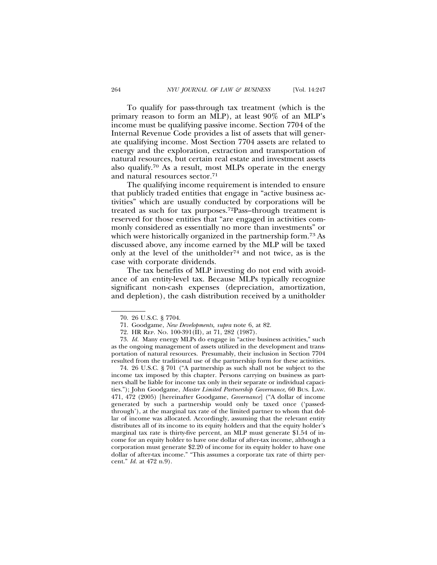To qualify for pass-through tax treatment (which is the primary reason to form an MLP), at least 90% of an MLP's income must be qualifying passive income. Section 7704 of the Internal Revenue Code provides a list of assets that will generate qualifying income. Most Section 7704 assets are related to energy and the exploration, extraction and transportation of natural resources, but certain real estate and investment assets also qualify.70 As a result, most MLPs operate in the energy and natural resources sector.71

The qualifying income requirement is intended to ensure that publicly traded entities that engage in "active business activities" which are usually conducted by corporations will be treated as such for tax purposes.72Pass–through treatment is reserved for those entities that "are engaged in activities commonly considered as essentially no more than investments" or which were historically organized in the partnership form.73 As discussed above, any income earned by the MLP will be taxed only at the level of the unitholder<sup>74</sup> and not twice, as is the case with corporate dividends.

The tax benefits of MLP investing do not end with avoidance of an entity-level tax. Because MLPs typically recognize significant non-cash expenses (depreciation, amortization, and depletion), the cash distribution received by a unitholder

74. 26 U.S.C. § 701 ("A partnership as such shall not be subject to the income tax imposed by this chapter. Persons carrying on business as partners shall be liable for income tax only in their separate or individual capacities."); John Goodgame, *Master Limited Partnership Governance*, 60 BUS. LAW. 471, 472 (2005) [hereinafter Goodgame, *Governance*] ("A dollar of income generated by such a partnership would only be taxed once ('passedthrough'), at the marginal tax rate of the limited partner to whom that dollar of income was allocated. Accordingly, assuming that the relevant entity distributes all of its income to its equity holders and that the equity holder's marginal tax rate is thirty-five percent, an MLP must generate \$1.54 of income for an equity holder to have one dollar of after-tax income, although a corporation must generate \$2.20 of income for its equity holder to have one dollar of after-tax income." "This assumes a corporate tax rate of thirty percent." *Id.* at 472 n.9).

<sup>70. 26</sup> U.S.C. § 7704.

<sup>71.</sup> Goodgame, *New Developments, supra* note 6, at 82.

<sup>72.</sup> HR REP. NO. 100-391(II), at 71, 282 (1987).

<sup>73.</sup> *Id.* Many energy MLPs do engage in "active business activities," such as the ongoing management of assets utilized in the development and transportation of natural resources. Presumably, their inclusion in Section 7704 resulted from the traditional use of the partnership form for these activities.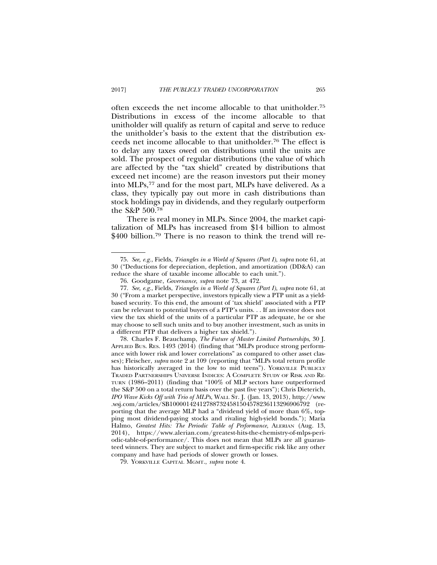often exceeds the net income allocable to that unitholder.75 Distributions in excess of the income allocable to that unitholder will qualify as return of capital and serve to reduce the unitholder's basis to the extent that the distribution exceeds net income allocable to that unitholder.76 The effect is to delay any taxes owed on distributions until the units are sold. The prospect of regular distributions (the value of which are affected by the "tax shield" created by distributions that exceed net income) are the reason investors put their money into MLPs,77 and for the most part, MLPs have delivered. As a class, they typically pay out more in cash distributions than stock holdings pay in dividends, and they regularly outperform the S&P 500.78

There is real money in MLPs. Since 2004, the market capitalization of MLPs has increased from \$14 billion to almost \$400 billion.<sup>79</sup> There is no reason to think the trend will re-

<sup>75.</sup> *See, e.g.*, Fields, *Triangles in a World of Squares (Part I)*, *supra* note 61, at 30 ("Deductions for depreciation, depletion, and amortization (DD&A) can reduce the share of taxable income allocable to each unit.").

<sup>76.</sup> Goodgame, *Governance*, *supra* note 73, at 472.

<sup>77.</sup> *See, e.g.*, Fields, *Triangles in a World of Squares (Part I)*, *supra* note 61, at 30 ("From a market perspective, investors typically view a PTP unit as a yieldbased security. To this end, the amount of 'tax shield' associated with a PTP can be relevant to potential buyers of a PTP's units. . . If an investor does not view the tax shield of the units of a particular PTP as adequate, he or she may choose to sell such units and to buy another investment, such as units in a different PTP that delivers a higher tax shield.").

<sup>78.</sup> Charles F. Beauchamp, *The Future of Master Limited Partnerships*, 30 J. APPLIED BUS. RES. 1493 (2014) (finding that "MLPs produce strong performance with lower risk and lower correlations" as compared to other asset classes); Fleischer, *supra* note 2 at 109 (reporting that "MLPs total return profile has historically averaged in the low to mid teens"). YORKVILLE PUBLICLY TRADED PARTNERSHIPS UNIVERSE INDICES: A COMPLETE STUDY OF RISK AND RE-TURN (1986–2011) (finding that "100% of MLP sectors have outperformed the S&P 500 on a total return basis over the past five years"); Chris Dieterich, *IPO Wave Kicks Off with Trio of MLPs*, WALL ST. J. (Jan. 13, 2013), http://www .wsj.com/articles/SB100001424127887324581504578236113296906792 (reporting that the average MLP had a "dividend yield of more than 6%, topping most dividend-paying stocks and rivaling high-yield bonds."); Maria Halmo, *Greatest Hits: The Periodic Table of Performance*, ALERIAN (Aug. 13, 2014), https://www.alerian.com/greatest-hits-the-chemistry-of-mlps-periodic-table-of-performance/. This does not mean that MLPs are all guaranteed winners. They are subject to market and firm-specific risk like any other company and have had periods of slower growth or losses.

<sup>79.</sup> YORKVILLE CAPITAL MGMT., *supra* note 4.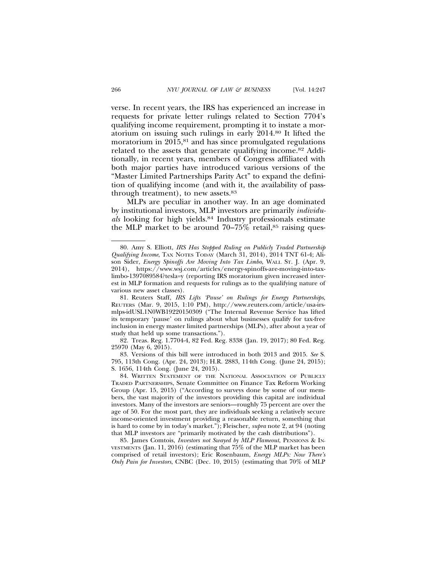verse. In recent years, the IRS has experienced an increase in requests for private letter rulings related to Section 7704's qualifying income requirement, prompting it to instate a moratorium on issuing such rulings in early 2014.80 It lifted the moratorium in  $2015$ ,<sup>81</sup> and has since promulgated regulations related to the assets that generate qualifying income.82 Additionally, in recent years, members of Congress affiliated with both major parties have introduced various versions of the "Master Limited Partnerships Parity Act" to expand the definition of qualifying income (and with it, the availability of passthrough treatment), to new assets.83

MLPs are peculiar in another way. In an age dominated by institutional investors, MLP investors are primarily *individuals* looking for high yields.84 Industry professionals estimate the MLP market to be around  $70-75\%$  retail,<sup>85</sup> raising ques-

<sup>80.</sup> Amy S. Elliott, *IRS Has Stopped Ruling on Publicly Traded Partnership Qualifying Income*, TAX NOTES TODAY (March 31, 2014), 2014 TNT 61-4; Alison Sider, *Energy Spinoffs Are Moving Into Tax Limbo*, WALL ST. J. (Apr. 9, 2014), https://www.wsj.com/articles/energy-spinoffs-are-moving-into-taxlimbo-1397089584?tesla=y (reporting IRS moratorium given increased interest in MLP formation and requests for rulings as to the qualifying nature of various new asset classes).

<sup>81.</sup> Reuters Staff, *IRS Lifts 'Pause' on Rulings for Energy Partnerships*, REUTERS (Mar. 9, 2015, 1:10 PM), http://www.reuters.com/article/usa-irsmlps-idUSL1N0WB19220150309 ("The Internal Revenue Service has lifted its temporary 'pause' on rulings about what businesses qualify for tax-free inclusion in energy master limited partnerships (MLPs), after about a year of study that held up some transactions.").

<sup>82.</sup> Treas. Reg. 1.7704-4, 82 Fed. Reg. 8338 (Jan. 19, 2017); 80 Fed. Reg. 25970 (May 6, 2015).

<sup>83.</sup> Versions of this bill were introduced in both 2013 and 2015. *See* S. 795, 113th Cong. (Apr. 24, 2013); H.R. 2883, 114th Cong. (June 24, 2015); S. 1656, 114th Cong. (June 24, 2015).

<sup>84.</sup> WRITTEN STATEMENT OF THE NATIONAL ASSOCIATION OF PUBLICLY TRADED PARTNERSHIPS, Senate Committee on Finance Tax Reform Working Group (Apr. 15, 2015) ("According to surveys done by some of our members, the vast majority of the investors providing this capital are individual investors. Many of the investors are seniors—roughly 75 percent are over the age of 50. For the most part, they are individuals seeking a relatively secure income-oriented investment providing a reasonable return, something that is hard to come by in today's market."); Fleischer, *supra* note 2, at 94 (noting that MLP investors are "primarily motivated by the cash distributions").

<sup>85.</sup> James Comtois, *Investors not Swayed by MLP Flameout*, PENSIONS & IN-VESTMENTS (Jan. 11, 2016) (estimating that 75% of the MLP market has been comprised of retail investors); Eric Rosenbaum, *Energy MLPs: Now There's Only Pain for Investors*, CNBC (Dec. 10, 2015) (estimating that 70% of MLP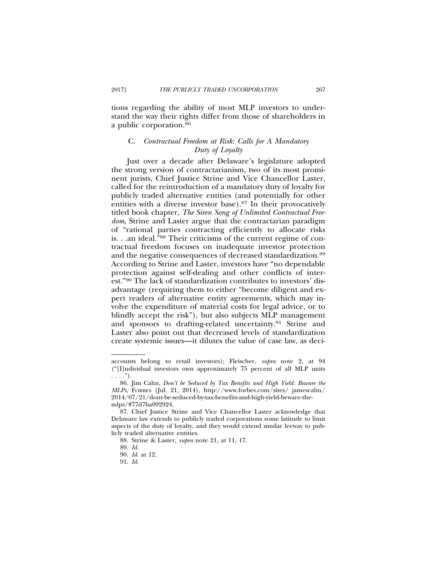tions regarding the ability of most MLP investors to understand the way their rights differ from those of shareholders in a public corporation.86

### C. *Contractual Freedom at Risk: Calls for A Mandatory Duty of Loyalty*

Just over a decade after Delaware's legislature adopted the strong version of contractarianism, two of its most prominent jurists, Chief Justice Strine and Vice Chancellor Laster, called for the reintroduction of a mandatory duty of loyalty for publicly traded alternative entities (and potentially for other entities with a diverse investor base).87 In their provocatively titled book chapter, *The Siren Song of Unlimited Contractual Freedom*, Strine and Laster argue that the contractarian paradigm of "rational parties contracting efficiently to allocate risks is. . .an ideal.<sup>788</sup> Their criticisms of the current regime of contractual freedom focuses on inadequate investor protection and the negative consequences of decreased standardization.89 According to Strine and Laster, investors have "no dependable protection against self-dealing and other conflicts of interest."90 The lack of standardization contributes to investors' disadvantage (requiring them to either "become diligent and expert readers of alternative entity agreements, which may involve the expenditure of material costs for legal advice, or to blindly accept the risk"), but also subjects MLP management and sponsors to drafting-related uncertainty.<sup>91</sup> Strine and Laster also point out that decreased levels of standardization create systemic issues—it dilutes the value of case law, as deci-

accounts belong to retail investors); Fleischer, *supra* note 2, at 94 ("[I]ndividual investors own approximately 75 percent of all MLP units  $\ldots$ .").

<sup>86.</sup> Jim Cahn, *Don't be Seduced by Tax Benefits and High Yield: Beware the MLPs*, FORBES (Jul. 21, 2014), http://www.forbes.com/sites/ jamescahn/ 2014/07/21/dont-be-seduced-by-tax-benefits-and-high-yield-beware-themlps/#77d7ba092924.

<sup>87.</sup> Chief Justice Strine and Vice Chancellor Laster acknowledge that Delaware law extends to publicly traded corporations some latitude to limit aspects of the duty of loyalty, and they would extend similar leeway to publicly traded alternative entities.

<sup>88.</sup> Strine & Laster, *supra* note 21, at 11, 17.

<sup>89.</sup> *Id.*

<sup>90.</sup> *Id.* at 12.

<sup>91.</sup> *Id.*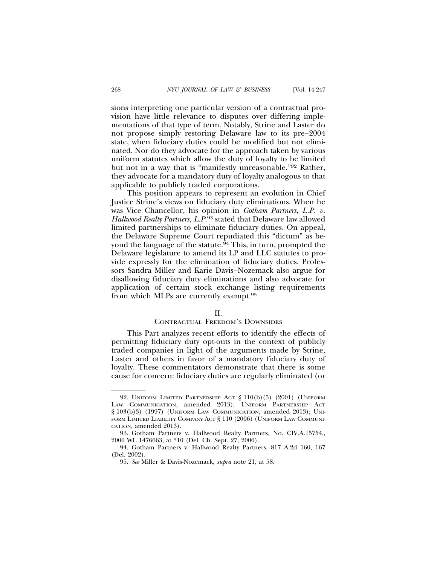sions interpreting one particular version of a contractual provision have little relevance to disputes over differing implementations of that type of term. Notably, Strine and Laster do not propose simply restoring Delaware law to its pre–2004 state, when fiduciary duties could be modified but not eliminated. Nor do they advocate for the approach taken by various uniform statutes which allow the duty of loyalty to be limited but not in a way that is "manifestly unreasonable."92 Rather, they advocate for a mandatory duty of loyalty analogous to that applicable to publicly traded corporations.

This position appears to represent an evolution in Chief Justice Strine's views on fiduciary duty eliminations. When he was Vice Chancellor, his opinion in *Gotham Partners, L.P. v. Hallwood Realty Partners, L.P.*93 stated that Delaware law allowed limited partnerships to eliminate fiduciary duties. On appeal, the Delaware Supreme Court repudiated this "dictum" as beyond the language of the statute.<sup>94</sup> This, in turn, prompted the Delaware legislature to amend its LP and LLC statutes to provide expressly for the elimination of fiduciary duties. Professors Sandra Miller and Karie Davis–Nozemack also argue for disallowing fiduciary duty eliminations and also advocate for application of certain stock exchange listing requirements from which MLPs are currently exempt.95

### $II$ .

### CONTRACTUAL FREEDOM'S DOWNSIDES

This Part analyzes recent efforts to identify the effects of permitting fiduciary duty opt-outs in the context of publicly traded companies in light of the arguments made by Strine, Laster and others in favor of a mandatory fiduciary duty of loyalty. These commentators demonstrate that there is some cause for concern: fiduciary duties are regularly eliminated (or

<sup>92.</sup> UNIFORM LIMITED PARTNERSHIP ACT § 110(b)(5) (2001) (UNIFORM LAW COMMUNICATION, amended 2013); UNIFORM PARTNERSHIP ACT § 103(b)3) (1997) (UNIFORM LAW COMMUNICATION, amended 2013); UNI-FORM LIMITED LIABILITY COMPANY ACT § 110 (2006) (UNIFORM LAW COMMUNI-CATION, amended 2013).

<sup>93.</sup> Gotham Partners v. Hallwood Realty Partners, No. CIV.A.15754., 2000 WL 1476663, at \*10 (Del. Ch. Sept. 27, 2000).

<sup>94.</sup> Gotham Partners v. Hallwood Realty Partners, 817 A.2d 160, 167 (Del. 2002).

<sup>95.</sup> *See* Miller & Davis-Nozemack, *supra* note 21, at 58.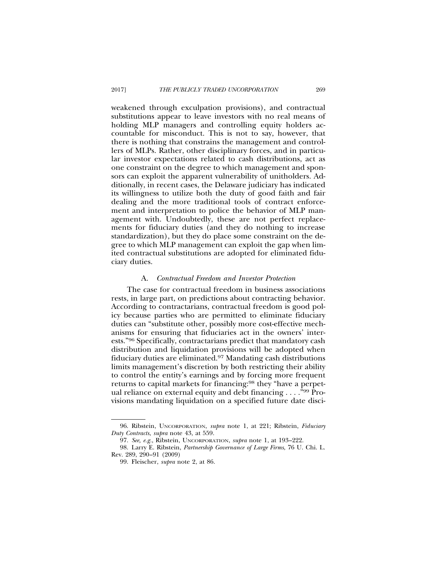weakened through exculpation provisions), and contractual substitutions appear to leave investors with no real means of holding MLP managers and controlling equity holders accountable for misconduct. This is not to say, however, that there is nothing that constrains the management and controllers of MLPs. Rather, other disciplinary forces, and in particular investor expectations related to cash distributions, act as one constraint on the degree to which management and sponsors can exploit the apparent vulnerability of unitholders. Additionally, in recent cases, the Delaware judiciary has indicated its willingness to utilize both the duty of good faith and fair dealing and the more traditional tools of contract enforcement and interpretation to police the behavior of MLP management with. Undoubtedly, these are not perfect replacements for fiduciary duties (and they do nothing to increase standardization), but they do place some constraint on the degree to which MLP management can exploit the gap when limited contractual substitutions are adopted for eliminated fiduciary duties.

### A. *Contractual Freedom and Investor Protection*

The case for contractual freedom in business associations rests, in large part, on predictions about contracting behavior. According to contractarians, contractual freedom is good policy because parties who are permitted to eliminate fiduciary duties can "substitute other, possibly more cost-effective mechanisms for ensuring that fiduciaries act in the owners' interests."96 Specifically, contractarians predict that mandatory cash distribution and liquidation provisions will be adopted when fiduciary duties are eliminated.97 Mandating cash distributions limits management's discretion by both restricting their ability to control the entity's earnings and by forcing more frequent returns to capital markets for financing:98 they "have a perpetual reliance on external equity and debt financing . . . ."99 Provisions mandating liquidation on a specified future date disci-

<sup>96.</sup> Ribstein, UNCORPORATION, *supra* note 1, at 221; Ribstein, *Fiduciary Duty Contracts*, *supra* note 43, at 559.

<sup>97.</sup> *See, e.g.*, Ribstein, UNCORPORATION, *supra* note 1, at 193–222.

<sup>98.</sup> Larry E. Ribstein, *Partnership Governance of Large Firms*, 76 U. Chi. L. Rev. 289, 290–91 (2009)

<sup>99.</sup> Fleischer, *supra* note 2, at 86.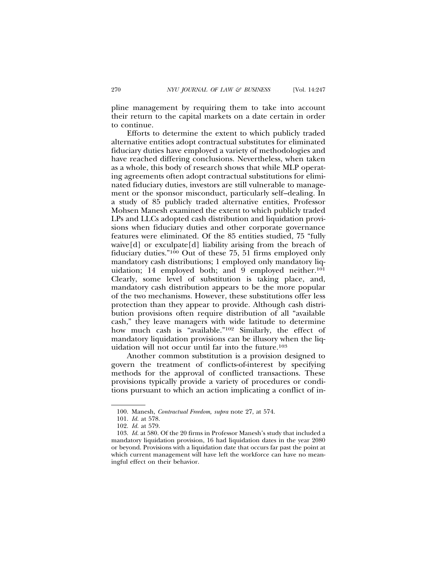pline management by requiring them to take into account their return to the capital markets on a date certain in order to continue.

Efforts to determine the extent to which publicly traded alternative entities adopt contractual substitutes for eliminated fiduciary duties have employed a variety of methodologies and have reached differing conclusions. Nevertheless, when taken as a whole, this body of research shows that while MLP operating agreements often adopt contractual substitutions for eliminated fiduciary duties, investors are still vulnerable to management or the sponsor misconduct, particularly self–dealing. In a study of 85 publicly traded alternative entities, Professor Mohsen Manesh examined the extent to which publicly traded LPs and LLCs adopted cash distribution and liquidation provisions when fiduciary duties and other corporate governance features were eliminated. Of the 85 entities studied, 75 "fully waive[d] or exculpate[d] liability arising from the breach of fiduciary duties."100 Out of these 75, 51 firms employed only mandatory cash distributions; 1 employed only mandatory liquidation; 14 employed both; and 9 employed neither.<sup>101</sup> Clearly, some level of substitution is taking place, and, mandatory cash distribution appears to be the more popular of the two mechanisms. However, these substitutions offer less protection than they appear to provide. Although cash distribution provisions often require distribution of all "available cash," they leave managers with wide latitude to determine how much cash is "available."102 Similarly, the effect of mandatory liquidation provisions can be illusory when the liquidation will not occur until far into the future.103

Another common substitution is a provision designed to govern the treatment of conflicts-of-interest by specifying methods for the approval of conflicted transactions. These provisions typically provide a variety of procedures or conditions pursuant to which an action implicating a conflict of in-

<sup>100.</sup> Manesh, *Contractual Freedom, supra* note 27, at 574.

<sup>101.</sup> *Id.* at 578.

<sup>102.</sup> *Id.* at 579.

<sup>103.</sup> *Id.* at 580. Of the 20 firms in Professor Manesh's study that included a mandatory liquidation provision, 16 had liquidation dates in the year 2080 or beyond. Provisions with a liquidation date that occurs far past the point at which current management will have left the workforce can have no meaningful effect on their behavior.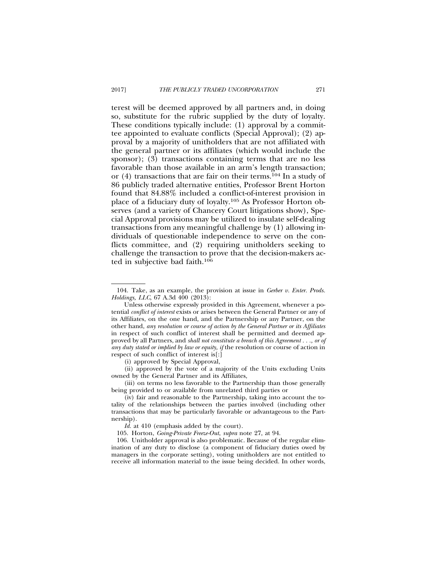terest will be deemed approved by all partners and, in doing so, substitute for the rubric supplied by the duty of loyalty. These conditions typically include: (1) approval by a committee appointed to evaluate conflicts (Special Approval); (2) approval by a majority of unitholders that are not affiliated with the general partner or its affiliates (which would include the sponsor); (3) transactions containing terms that are no less favorable than those available in an arm's length transaction; or  $(4)$  transactions that are fair on their terms.<sup>104</sup> In a study of 86 publicly traded alternative entities, Professor Brent Horton found that 84.88% included a conflict-of-interest provision in place of a fiduciary duty of loyalty.105 As Professor Horton observes (and a variety of Chancery Court litigations show), Special Approval provisions may be utilized to insulate self-dealing transactions from any meaningful challenge by (1) allowing individuals of questionable independence to serve on the conflicts committee, and (2) requiring unitholders seeking to challenge the transaction to prove that the decision-makers acted in subjective bad faith.106

(i) approved by Special Approval,

(ii) approved by the vote of a majority of the Units excluding Units owned by the General Partner and its Affiliates,

(iii) on terms no less favorable to the Partnership than those generally being provided to or available from unrelated third parties or

<sup>104.</sup> Take, as an example, the provision at issue in *Gerber v. Enter. Prods. Holdings, LLC*, 67 A.3d 400 (2013):

Unless otherwise expressly provided in this Agreement, whenever a potential *conflict of interest* exists or arises between the General Partner or any of its Affiliates, on the one hand, and the Partnership or any Partner, on the other hand, *any resolution or course of action by the General Partner or its Affiliates* in respect of such conflict of interest shall be permitted and deemed approved by all Partners, and *shall not constitute a breach of this Agreement . . ., or of any duty stated or implied by law or equity, if* the resolution or course of action in respect of such conflict of interest is[:]

<sup>(</sup>iv) fair and reasonable to the Partnership, taking into account the totality of the relationships between the parties involved (including other transactions that may be particularly favorable or advantageous to the Partnership).

*Id.* at 410 (emphasis added by the court).

<sup>105.</sup> Horton, *Going-Private Freeze-Out*, *supra* note 27, at 94.

<sup>106.</sup> Unitholder approval is also problematic. Because of the regular elimination of any duty to disclose (a component of fiduciary duties owed by managers in the corporate setting), voting unitholders are not entitled to receive all information material to the issue being decided. In other words,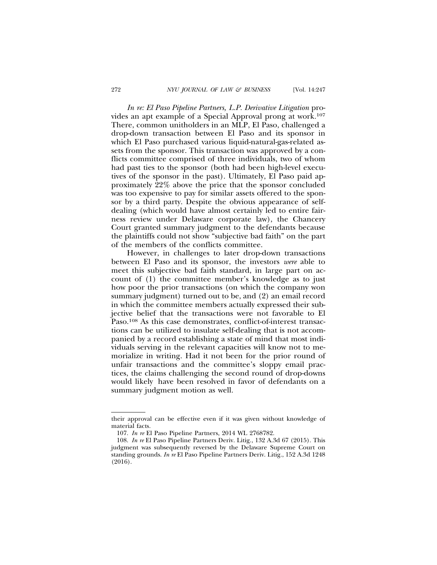*In re: El Paso Pipeline Partners, L.P. Derivative Litigation* provides an apt example of a Special Approval prong at work*.*<sup>107</sup> There, common unitholders in an MLP, El Paso, challenged a drop-down transaction between El Paso and its sponsor in which El Paso purchased various liquid-natural-gas-related assets from the sponsor. This transaction was approved by a conflicts committee comprised of three individuals, two of whom had past ties to the sponsor (both had been high-level executives of the sponsor in the past). Ultimately, El Paso paid approximately 22% above the price that the sponsor concluded was too expensive to pay for similar assets offered to the sponsor by a third party. Despite the obvious appearance of selfdealing (which would have almost certainly led to entire fairness review under Delaware corporate law), the Chancery Court granted summary judgment to the defendants because the plaintiffs could not show "subjective bad faith" on the part of the members of the conflicts committee.

However, in challenges to later drop-down transactions between El Paso and its sponsor, the investors *were* able to meet this subjective bad faith standard, in large part on account of (1) the committee member's knowledge as to just how poor the prior transactions (on which the company won summary judgment) turned out to be, and (2) an email record in which the committee members actually expressed their subjective belief that the transactions were not favorable to El Paso.<sup>108</sup> As this case demonstrates, conflict-of-interest transactions can be utilized to insulate self-dealing that is not accompanied by a record establishing a state of mind that most individuals serving in the relevant capacities will know not to memorialize in writing. Had it not been for the prior round of unfair transactions and the committee's sloppy email practices, the claims challenging the second round of drop-downs would likely have been resolved in favor of defendants on a summary judgment motion as well.

their approval can be effective even if it was given without knowledge of material facts.

<sup>107.</sup> *In re* El Paso Pipeline Partners, 2014 WL 2768782.

<sup>108.</sup> *In re* El Paso Pipeline Partners Deriv. Litig., 132 A.3d 67 (2015). This judgment was subsequently reversed by the Delaware Supreme Court on standing grounds. *In re* El Paso Pipeline Partners Deriv. Litig., 152 A.3d 1248 (2016).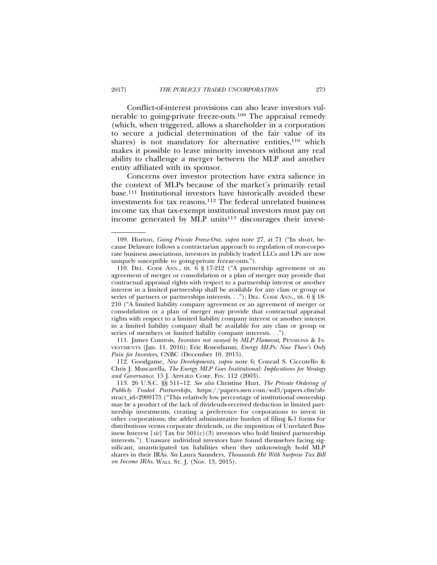Conflict-of-interest provisions can also leave investors vulnerable to going-private freeze-outs.109 The appraisal remedy (which, when triggered, allows a shareholder in a corporation to secure a judicial determination of the fair value of its shares) is not mandatory for alternative entities, $110$  which makes it possible to leave minority investors without any real ability to challenge a merger between the MLP and another entity affiliated with its sponsor.

Concerns over investor protection have extra salience in the context of MLPs because of the market's primarily retail base.111 Institutional investors have historically avoided these investments for tax reasons.112 The federal unrelated business income tax that tax-exempt institutional investors must pay on income generated by MLP units $113$  discourages their invest-

111. James Comtois, *Investors not swayed by MLP Flameout*, PENSIONS & IN-VESTMENTS (Jan. 11, 2016); Eric Rosenbaum, *Energy MLPs: Now There's Only Pain for Investors*, CNBC (December 10, 2015).

112. Goodgame, *New Developments*, *supra* note 6; Conrad S. Ciccotello & Chris J. Muscarella, *The Energy MLP Goes Institutional: Implications for Strategy and Governance*, 15 J. APPLIED CORP. FIN. 112 (2003).

<sup>109.</sup> Horton, *Going Private Freeze-Out, supra* note 27, at 71 ("In short, because Delaware follows a contractarian approach to regulation of non-corporate business associations, investors in publicly traded LLCs and LPs are now uniquely susceptible to going-private freeze-outs.").

<sup>110.</sup> DEL. CODE ANN., tit. 6 § 17-212 ("A partnership agreement or an agreement of merger or consolidation or a plan of merger may provide that contractual appraisal rights with respect to a partnership interest or another interest in a limited partnership shall be available for any class or group or series of partners or partnerships interests. . ."); DEL. CODE ANN., tit. 6 § 18-210 ("A limited liability company agreement or an agreement of merger or consolidation or a plan of merger may provide that contractual appraisal rights with respect to a limited liability company interest or another interest in a limited liability company shall be available for any class or group or series of members or limited liability company interests. . .").

<sup>113. 26</sup> U.S.C. §§ 511–12. *See also* Christine Hurt, *The Private Ordering of Publicly Traded Partnerships*, https://papers.ssrn.com/sol3/papers.cfm?abstract\_id=2969175 ("This relatively low percentage of institutional ownership may be a product of the lack of dividends-received deduction in limited partnership investments, creating a preference for corporations to invest in other corporations; the added administrative burden of filing K-1 forms for distributions versus corporate dividends, or the imposition of Unrelated Business Interest [ $sic$ ] Tax for  $501(c)(3)$  investors who hold limited partnership interests."). Unaware individual investors have found themselves facing significant, unanticipated tax liabilities when they unknowingly hold MLP shares in their IRAs. *See* Laura Saunders, *Thousands Hit With Surprise Tax Bill on Income IRAs*, WALL ST. J. (Nov. 13, 2015).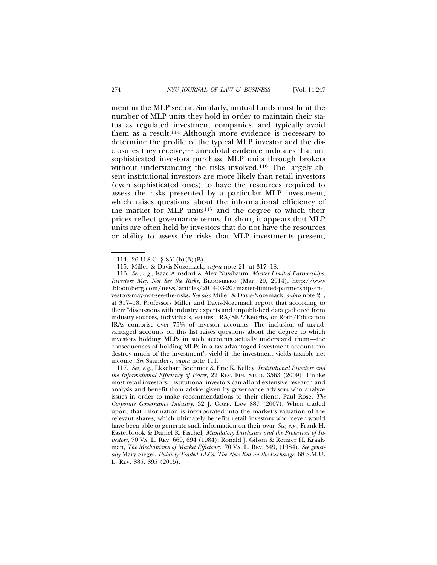ment in the MLP sector. Similarly, mutual funds must limit the number of MLP units they hold in order to maintain their status as regulated investment companies, and typically avoid them as a result.114 Although more evidence is necessary to determine the profile of the typical MLP investor and the disclosures they receive,115 anecdotal evidence indicates that unsophisticated investors purchase MLP units through brokers without understanding the risks involved.<sup>116</sup> The largely absent institutional investors are more likely than retail investors (even sophisticated ones) to have the resources required to assess the risks presented by a particular MLP investment, which raises questions about the informational efficiency of the market for MLP units<sup>117</sup> and the degree to which their prices reflect governance terms. In short, it appears that MLP units are often held by investors that do not have the resources or ability to assess the risks that MLP investments present,

<sup>114. 26</sup> U.S.C. § 851(b)(3)(B).

<sup>115.</sup> Miller & Davis-Nozemack, *supra* note 21, at 317–18.

<sup>116.</sup> *See, e.g.*, Isaac Arnsdorf & Alex Nussbaum, *Master Limited Partnerships: Investors May Not See the Risks*, BLOOMBERG (Mar. 20, 2014), http://www .bloomberg.com/news/articles/2014-03-20/master-limited-partnerships-investors-may-not-see-the-risks. *See also* Miller & Davis-Nozemack, *supra* note 21, at 317–18. Professors Miller and Davis-Nozemack report that according to their "discussions with industry experts and unpublished data gathered from industry sources, individuals, estates, IRA/SEP/Keoghs, or Roth/Education IRAs comprise over 75% of investor accounts. The inclusion of tax-advantaged accounts on this list raises questions about the degree to which investors holding MLPs in such accounts actually understand them—the consequences of holding MLPs in a tax-advantaged investment account can destroy much of the investment's yield if the investment yields taxable net income. *See* Saunders, *supra* note 111.

<sup>117.</sup> *See, e.g.*, Ekkehart Boehmer & Eric K. Kelley, *Institutional Investors and the Informational Efficiency of Prices*, 22 REV. FIN. STUD. 3563 (2009). Unlike most retail investors, institutional investors can afford extensive research and analysis and benefit from advice given by governance advisors who analyze issues in order to make recommendations to their clients. Paul Rose, *The Corporate Governance Industry*, 32 J. CORP. LAW 887 (2007). When traded upon, that information is incorporated into the market's valuation of the relevant shares, which ultimately benefits retail investors who never would have been able to generate such information on their own. *See, e.g.*, Frank H. Easterbrook & Daniel R. Fischel, *Mandatory Disclosure and the Protection of Investors*, 70 VA. L. REV. 669, 694 (1984); Ronald J. Gilson & Reinier H. Kraakman, *The Mechanisms of Market Efficiency*, 70 VA. L. REV. 549, (1984). *See generally* Mary Siegel, *Publicly-Traded LLCs: The New Kid on the Exchange*, 68 S.M.U. L. REV. 885, 895 (2015).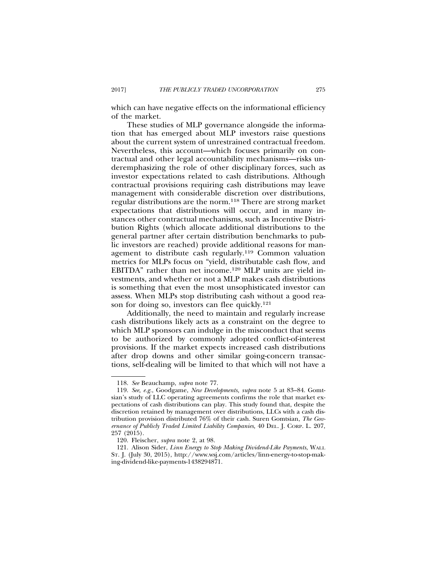which can have negative effects on the informational efficiency of the market.

These studies of MLP governance alongside the information that has emerged about MLP investors raise questions about the current system of unrestrained contractual freedom. Nevertheless, this account—which focuses primarily on contractual and other legal accountability mechanisms—risks underemphasizing the role of other disciplinary forces, such as investor expectations related to cash distributions. Although contractual provisions requiring cash distributions may leave management with considerable discretion over distributions, regular distributions are the norm.118 There are strong market expectations that distributions will occur, and in many instances other contractual mechanisms, such as Incentive Distribution Rights (which allocate additional distributions to the general partner after certain distribution benchmarks to public investors are reached) provide additional reasons for management to distribute cash regularly.119 Common valuation metrics for MLPs focus on "yield, distributable cash flow, and EBITDA" rather than net income.120 MLP units are yield investments, and whether or not a MLP makes cash distributions is something that even the most unsophisticated investor can assess. When MLPs stop distributing cash without a good reason for doing so, investors can flee quickly.121

Additionally, the need to maintain and regularly increase cash distributions likely acts as a constraint on the degree to which MLP sponsors can indulge in the misconduct that seems to be authorized by commonly adopted conflict-of-interest provisions. If the market expects increased cash distributions after drop downs and other similar going-concern transactions, self-dealing will be limited to that which will not have a

<sup>118.</sup> *See* Beauchamp, *supra* note 77.

<sup>119.</sup> *See, e.g.*, Goodgame, *New Developments, supra* note 5 at 83–84. Gomtsian's study of LLC operating agreements confirms the role that market expectations of cash distributions can play. This study found that, despite the discretion retained by management over distributions, LLCs with a cash distribution provision distributed 76% of their cash. Suren Gomtsian, *The Governance of Publicly Traded Limited Liability Companies,* 40 DEL. J. CORP. L. 207, 257 (2015).

<sup>120.</sup> Fleischer, *supra* note 2, at 98.

<sup>121.</sup> Alison Sider, *Linn Energy to Stop Making Dividend-Like Payments*, WALL ST. J. (July 30, 2015), http://www.wsj.com/articles/linn-energy-to-stop-making-dividend-like-payments-1438294871.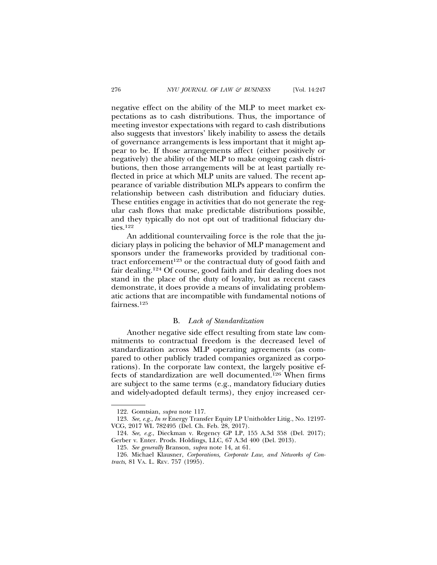negative effect on the ability of the MLP to meet market expectations as to cash distributions. Thus, the importance of meeting investor expectations with regard to cash distributions also suggests that investors' likely inability to assess the details of governance arrangements is less important that it might appear to be. If those arrangements affect (either positively or negatively) the ability of the MLP to make ongoing cash distributions, then those arrangements will be at least partially reflected in price at which MLP units are valued. The recent appearance of variable distribution MLPs appears to confirm the relationship between cash distribution and fiduciary duties. These entities engage in activities that do not generate the regular cash flows that make predictable distributions possible, and they typically do not opt out of traditional fiduciary duties.122

An additional countervailing force is the role that the judiciary plays in policing the behavior of MLP management and sponsors under the frameworks provided by traditional contract enforcement<sup>123</sup> or the contractual duty of good faith and fair dealing.124 Of course, good faith and fair dealing does not stand in the place of the duty of loyalty, but as recent cases demonstrate, it does provide a means of invalidating problematic actions that are incompatible with fundamental notions of fairness.125

### B. *Lack of Standardization*

Another negative side effect resulting from state law commitments to contractual freedom is the decreased level of standardization across MLP operating agreements (as compared to other publicly traded companies organized as corporations). In the corporate law context, the largely positive effects of standardization are well documented.126 When firms are subject to the same terms (e.g., mandatory fiduciary duties and widely-adopted default terms), they enjoy increased cer-

<sup>122.</sup> Gomtsian, *supra* note 117.

<sup>123.</sup> *See, e.g.*, *In re* Energy Transfer Equity LP Unitholder Litig., No. 12197- VCG, 2017 WL 782495 (Del. Ch. Feb. 28, 2017).

<sup>124.</sup> *See, e.g.*, Dieckman v. Regency GP LP, 155 A.3d 358 (Del. 2017); Gerber v. Enter. Prods. Holdings, LLC, 67 A.3d 400 (Del. 2013).

<sup>125.</sup> *See generally* Branson, *supra* note 14, at 61.

<sup>126.</sup> Michael Klausner, *Corporations, Corporate Law, and Networks of Contracts*, 81 VA. L. REV. 757 (1995).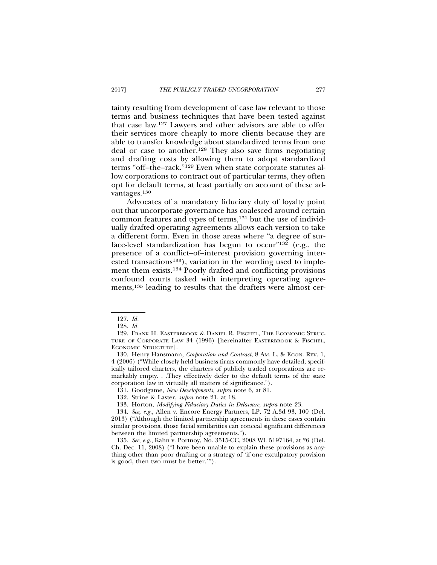tainty resulting from development of case law relevant to those terms and business techniques that have been tested against that case law.127 Lawyers and other advisors are able to offer their services more cheaply to more clients because they are able to transfer knowledge about standardized terms from one deal or case to another.128 They also save firms negotiating and drafting costs by allowing them to adopt standardized terms "off–the–rack."129 Even when state corporate statutes allow corporations to contract out of particular terms, they often opt for default terms, at least partially on account of these advantages.130

Advocates of a mandatory fiduciary duty of loyalty point out that uncorporate governance has coalesced around certain common features and types of terms,<sup>131</sup> but the use of individually drafted operating agreements allows each version to take a different form. Even in those areas where "a degree of surface-level standardization has begun to occur"<sup>132</sup> (e.g., the presence of a conflict–of–interest provision governing interested transactions<sup>133</sup>), variation in the wording used to implement them exists.134 Poorly drafted and conflicting provisions confound courts tasked with interpreting operating agreements,<sup>135</sup> leading to results that the drafters were almost cer-

130. Henry Hansmann, *Corporation and Contract*, 8 Am. L. & ECON. REV. 1, 4 (2006) ("While closely held business firms commonly have detailed, specifically tailored charters, the charters of publicly traded corporations are remarkably empty. . .They effectively defer to the default terms of the state corporation law in virtually all matters of significance.").

131. Goodgame, *New Developments, supra* note 6, at 81.

<sup>127.</sup> *Id.*

<sup>128.</sup> *Id.*

<sup>129.</sup> FRANK H. EASTERBROOK & DANIEL R. FISCHEL, THE ECONOMIC STRUC-TURE OF CORPORATE LAW 34 (1996) [hereinafter EASTERBROOK & FISCHEL, ECONOMIC STRUCTURE].

<sup>132.</sup> Strine & Laster, *supra* note 21, at 18.

<sup>133.</sup> Horton, *Modifying Fiduciary Duties in Delaware*, *supra* note 23.

<sup>134.</sup> *See, e.g.*, Allen v. Encore Energy Partners, LP, 72 A.3d 93, 100 (Del. 2013) ("Although the limited partnership agreements in these cases contain similar provisions, those facial similarities can conceal significant differences between the limited partnership agreements.").

<sup>135.</sup> *See, e.g.*, Kahn v. Portnoy, No. 3515-CC, 2008 WL 5197164, at \*6 (Del. Ch. Dec. 11, 2008) ("I have been unable to explain these provisions as anything other than poor drafting or a strategy of 'if one exculpatory provision is good, then two must be better.'").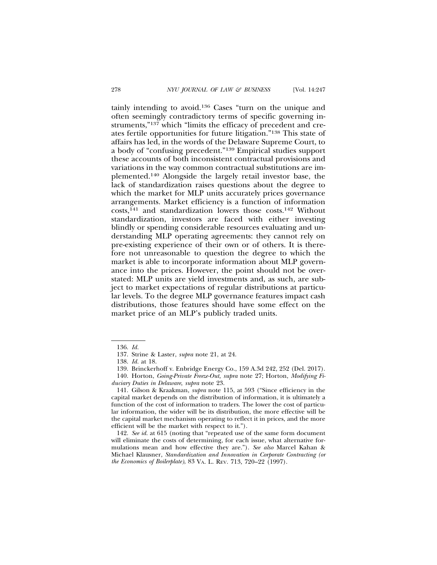tainly intending to avoid.136 Cases "turn on the unique and often seemingly contradictory terms of specific governing instruments,"<sup>137</sup> which "limits the efficacy of precedent and creates fertile opportunities for future litigation."138 This state of affairs has led, in the words of the Delaware Supreme Court, to a body of "confusing precedent."139 Empirical studies support these accounts of both inconsistent contractual provisions and variations in the way common contractual substitutions are implemented.140 Alongside the largely retail investor base, the lack of standardization raises questions about the degree to which the market for MLP units accurately prices governance arrangements. Market efficiency is a function of information costs,141 and standardization lowers those costs.142 Without standardization, investors are faced with either investing blindly or spending considerable resources evaluating and understanding MLP operating agreements: they cannot rely on pre-existing experience of their own or of others. It is therefore not unreasonable to question the degree to which the market is able to incorporate information about MLP governance into the prices. However, the point should not be overstated: MLP units are yield investments and, as such, are subject to market expectations of regular distributions at particular levels. To the degree MLP governance features impact cash distributions, those features should have some effect on the market price of an MLP's publicly traded units.

<sup>136.</sup> *Id.*

<sup>137.</sup> Strine & Laster, *supra* note 21, at 24.

<sup>138.</sup> *Id.* at 18.

<sup>139.</sup> Brinckerhoff v. Enbridge Energy Co., 159 A.3d 242, 252 (Del. 2017).

<sup>140.</sup> Horton, *Going-Private Freeze-Out, supra* note 27; Horton, *Modifying Fiduciary Duties in Delaware*, *supra* note 23.

<sup>141.</sup> Gilson & Kraakman, *supra* note 115, at 593 ("Since efficiency in the capital market depends on the distribution of information, it is ultimately a function of the cost of information to traders. The lower the cost of particular information, the wider will be its distribution, the more effective will be the capital market mechanism operating to reflect it in prices, and the more efficient will be the market with respect to it.").

<sup>142.</sup> *See id.* at 615 (noting that "repeated use of the same form document will eliminate the costs of determining, for each issue, what alternative formulations mean and how effective they are."). *See also* Marcel Kahan & Michael Klausner, *Standardization and Innovation in Corporate Contracting (or the Economics of Boilerplate)*, 83 VA. L. REV. 713, 720–22 (1997).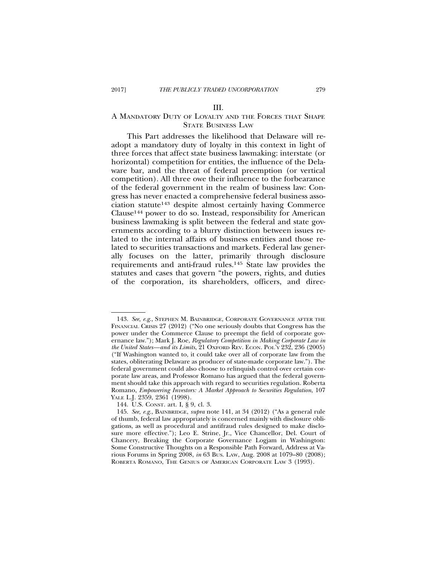### III.

### A MANDATORY DUTY OF LOYALTY AND THE FORCES THAT SHAPE STATE BUSINESS LAW

This Part addresses the likelihood that Delaware will readopt a mandatory duty of loyalty in this context in light of three forces that affect state business lawmaking: interstate (or horizontal) competition for entities, the influence of the Delaware bar, and the threat of federal preemption (or vertical competition). All three owe their influence to the forbearance of the federal government in the realm of business law: Congress has never enacted a comprehensive federal business association statute143 despite almost certainly having Commerce Clause144 power to do so. Instead, responsibility for American business lawmaking is split between the federal and state governments according to a blurry distinction between issues related to the internal affairs of business entities and those related to securities transactions and markets. Federal law generally focuses on the latter, primarily through disclosure requirements and anti-fraud rules.145 State law provides the statutes and cases that govern "the powers, rights, and duties of the corporation, its shareholders, officers, and direc-

<sup>143.</sup> *See, e.g*., STEPHEN M. BAINBRIDGE, CORPORATE GOVERNANCE AFTER THE FINANCIAL CRISIS 27 (2012) ("No one seriously doubts that Congress has the power under the Commerce Clause to preempt the field of corporate governance law."); Mark J. Roe, *Regulatory Competition in Making Corporate Law in the United States—and its Limits*, 21 OXFORD REV. ECON. POL'Y 232, 236 (2005) ("If Washington wanted to, it could take over all of corporate law from the states, obliterating Delaware as producer of state-made corporate law."). The federal government could also choose to relinquish control over certain corporate law areas, and Professor Romano has argued that the federal government should take this approach with regard to securities regulation. Roberta Romano, *Empowering Investors: A Market Approach to Securities Regulation*, 107 YALE L.J. 2359, 2361 (1998).

<sup>144.</sup> U.S. CONST. art. I, § 9, cl. 3.

<sup>145.</sup> *See, e.g*., BAINBRIDGE, *supra* note 141, at 34 (2012) ("As a general rule of thumb, federal law appropriately is concerned mainly with disclosure obligations, as well as procedural and antifraud rules designed to make disclosure more effective."); Leo E. Strine, Jr., Vice Chancellor, Del. Court of Chancery, Breaking the Corporate Governance Logjam in Washington: Some Constructive Thoughts on a Responsible Path Forward, Address at Various Forums in Spring 2008, *in* 63 BUS. LAW, Aug. 2008 at 1079–80 (2008); ROBERTA ROMANO, THE GENIUS OF AMERICAN CORPORATE LAW 3 (1993).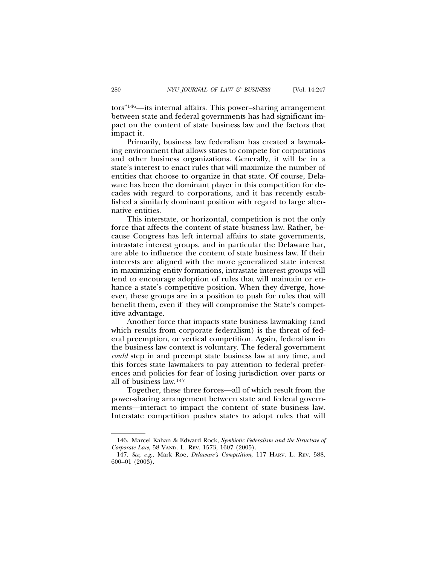tors"146—its internal affairs. This power–sharing arrangement between state and federal governments has had significant impact on the content of state business law and the factors that impact it.

Primarily, business law federalism has created a lawmaking environment that allows states to compete for corporations and other business organizations. Generally, it will be in a state's interest to enact rules that will maximize the number of entities that choose to organize in that state. Of course, Delaware has been the dominant player in this competition for decades with regard to corporations, and it has recently established a similarly dominant position with regard to large alternative entities.

This interstate, or horizontal, competition is not the only force that affects the content of state business law. Rather, because Congress has left internal affairs to state governments, intrastate interest groups, and in particular the Delaware bar, are able to influence the content of state business law. If their interests are aligned with the more generalized state interest in maximizing entity formations, intrastate interest groups will tend to encourage adoption of rules that will maintain or enhance a state's competitive position. When they diverge, however, these groups are in a position to push for rules that will benefit them, even if they will compromise the State's competitive advantage.

Another force that impacts state business lawmaking (and which results from corporate federalism) is the threat of federal preemption, or vertical competition. Again, federalism in the business law context is voluntary. The federal government *could* step in and preempt state business law at any time, and this forces state lawmakers to pay attention to federal preferences and policies for fear of losing jurisdiction over parts or all of business law.147

Together, these three forces—all of which result from the power-sharing arrangement between state and federal governments—interact to impact the content of state business law. Interstate competition pushes states to adopt rules that will

<sup>146.</sup> Marcel Kahan & Edward Rock, *Symbiotic Federalism and the Structure of Corporate Law*, 58 VAND. L. REV. 1573, 1607 (2005).

<sup>147.</sup> *See*, *e.g.*, Mark Roe, *Delaware's Competition*, 117 HARV. L. REV. 588, 600–01 (2003).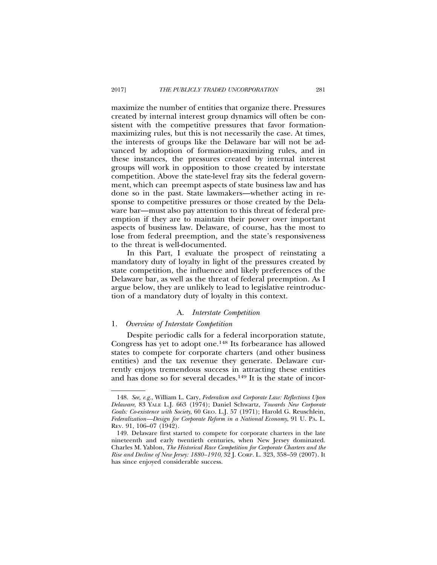maximize the number of entities that organize there. Pressures created by internal interest group dynamics will often be consistent with the competitive pressures that favor formationmaximizing rules, but this is not necessarily the case. At times, the interests of groups like the Delaware bar will not be advanced by adoption of formation-maximizing rules, and in these instances, the pressures created by internal interest groups will work in opposition to those created by interstate competition. Above the state-level fray sits the federal government, which can preempt aspects of state business law and has done so in the past. State lawmakers—whether acting in response to competitive pressures or those created by the Delaware bar—must also pay attention to this threat of federal preemption if they are to maintain their power over important aspects of business law. Delaware, of course, has the most to lose from federal preemption, and the state's responsiveness to the threat is well-documented.

In this Part, I evaluate the prospect of reinstating a mandatory duty of loyalty in light of the pressures created by state competition, the influence and likely preferences of the Delaware bar, as well as the threat of federal preemption. As I argue below, they are unlikely to lead to legislative reintroduction of a mandatory duty of loyalty in this context.

### A. *Interstate Competition*

### 1. *Overview of Interstate Competition*

Despite periodic calls for a federal incorporation statute, Congress has yet to adopt one.148 Its forbearance has allowed states to compete for corporate charters (and other business entities) and the tax revenue they generate. Delaware currently enjoys tremendous success in attracting these entities and has done so for several decades.149 It is the state of incor-

<sup>148.</sup> *See, e.g.*, William L. Cary, *Federalism and Corporate Law: Reflections Upon Delaware*, 83 YALE L.J. 663 (1974); Daniel Schwartz, *Towards New Corporate Goals: Co-existence with Society*, 60 GEO. L.J. 57 (1971); Harold G. Reuschlein, *Federalization—Design for Corporate Reform in a National Economy*, 91 U. PA. L. REV. 91, 106–07 (1942).

<sup>149.</sup> Delaware first started to compete for corporate charters in the late nineteenth and early twentieth centuries, when New Jersey dominated. Charles M. Yablon, *The Historical Race Competition for Corporate Charters and the Rise and Decline of New Jersey: 1880–1910*, 32 J. CORP. L. 323, 358–59 (2007). It has since enjoyed considerable success.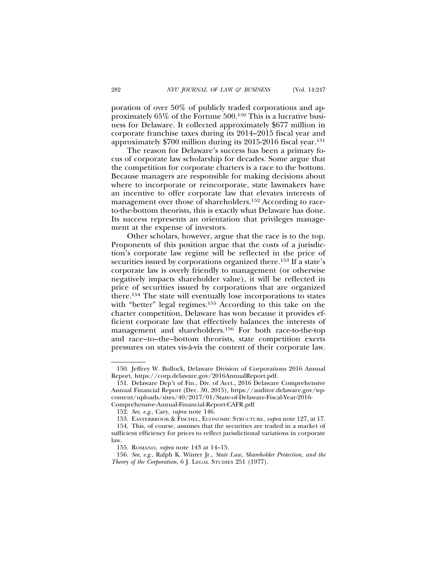poration of over 50% of publicly traded corporations and approximately 65% of the Fortune 500.150 This is a lucrative business for Delaware. It collected approximately \$677 million in corporate franchise taxes during its 2014–2015 fiscal year and approximately \$700 million during its 2015-2016 fiscal year.151

The reason for Delaware's success has been a primary focus of corporate law scholarship for decades. Some argue that the competition for corporate charters is a race to the bottom. Because managers are responsible for making decisions about where to incorporate or reincorporate, state lawmakers have an incentive to offer corporate law that elevates interests of management over those of shareholders.152 According to raceto-the-bottom theorists, this is exactly what Delaware has done. Its success represents an orientation that privileges management at the expense of investors.

Other scholars, however, argue that the race is to the top. Proponents of this position argue that the costs of a jurisdiction's corporate law regime will be reflected in the price of securities issued by corporations organized there.<sup>153</sup> If a state's corporate law is overly friendly to management (or otherwise negatively impacts shareholder value), it will be reflected in price of securities issued by corporations that are organized there.154 The state will eventually lose incorporations to states with "better" legal regimes.<sup>155</sup> According to this take on the charter competition, Delaware has won because it provides efficient corporate law that effectively balances the interests of management and shareholders.156 For both race-to-the-top and race–to–the–bottom theorists, state competition exerts pressures on states vis-a-vis the content of their corporate law. `

<sup>150.</sup> Jeffrey W. Bullock, Delaware Division of Corporations 2016 Annual Report, https://corp.delaware.gov/2016AnnualReport.pdf.

<sup>151.</sup> Delaware Dep't of Fin., Div. of Acct., 2016 Delaware Comprehensive Annual Financial Report (Dec. 30, 2015), https://auditor.delaware.gov/wpcontent/uploads/sites/40/2017/01/State-of-Delaware-Fiscal-Year-2016- Comprehensive-Annual-Financial-Report-CAFR.pdf

<sup>152.</sup> *See, e.g*., Cary, *supra* note 146.

<sup>153.</sup> EASTERBROOK & FISCHEL, ECONOMIC STRUCTURE, *supra* note 127, at 17.

<sup>154.</sup> This, of course, assumes that the securities are traded in a market of sufficient efficiency for prices to reflect jurisdictional variations in corporate law.

<sup>155.</sup> ROMANO, *supra* note 143 at 14–15.

<sup>156.</sup> *See, e.g*., Ralph K. Winter Jr., *State Law, Shareholder Protection, and the Theory of the Corporation*, 6 J. LEGAL STUDIES 251 (1977).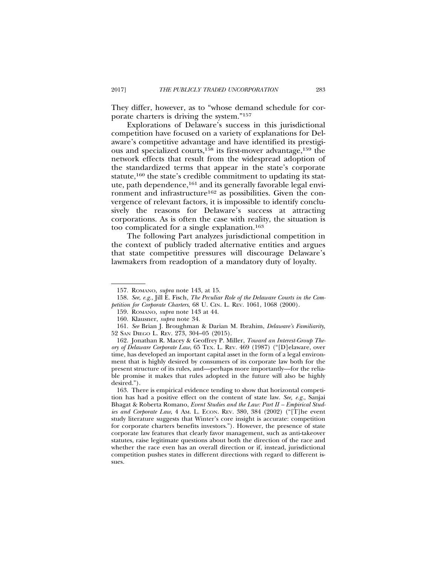They differ, however, as to "whose demand schedule for corporate charters is driving the system."157

Explorations of Delaware's success in this jurisdictional competition have focused on a variety of explanations for Delaware's competitive advantage and have identified its prestigious and specialized courts,158 its first-mover advantage,159 the network effects that result from the widespread adoption of the standardized terms that appear in the state's corporate statute,<sup>160</sup> the state's credible commitment to updating its statute, path dependence,<sup>161</sup> and its generally favorable legal environment and infrastructure<sup>162</sup> as possibilities. Given the convergence of relevant factors, it is impossible to identify conclusively the reasons for Delaware's success at attracting corporations. As is often the case with reality, the situation is too complicated for a single explanation.163

The following Part analyzes jurisdictional competition in the context of publicly traded alternative entities and argues that state competitive pressures will discourage Delaware's lawmakers from readoption of a mandatory duty of loyalty.

<sup>157.</sup> ROMANO, *supra* note 143, at 15.

<sup>158.</sup> *See, e.g.*, Jill E. Fisch, *The Peculiar Role of the Delaware Courts in the Competition for Corporate Charters*, 68 U. CIN. L. REV. 1061, 1068 (2000).

<sup>159.</sup> ROMANO, *supra* note 143 at 44.

<sup>160.</sup> Klausner, *supra* note 34.

<sup>161.</sup> *See* Brian J. Broughman & Darian M. Ibrahim, *Delaware's Familiarity*, 52 SAN DIEGO L. REV. 273, 304–05 (2015).

<sup>162.</sup> Jonathan R. Macey & Geoffrey P. Miller, *Toward an Interest-Group Theory of Delaware Corporate Law*, 65 TEX. L. REV. 469 (1987) ("[D]elaware, over time, has developed an important capital asset in the form of a legal environment that is highly desired by consumers of its corporate law both for the present structure of its rules, and—perhaps more importantly—for the reliable promise it makes that rules adopted in the future will also be highly desired.").

<sup>163.</sup> There is empirical evidence tending to show that horizontal competition has had a positive effect on the content of state law. *See, e.g.*, Sanjai Bhagat & Roberta Romano, *Event Studies and the Law: Part II – Empirical Studies and Corporate Law*, 4 Am. L. ECON. REV. 380, 384 (2002) ("[T]he event study literature suggests that Winter's core insight is accurate: competition for corporate charters benefits investors."). However, the presence of state corporate law features that clearly favor management, such as anti-takeover statutes, raise legitimate questions about both the direction of the race and whether the race even has an overall direction or if, instead, jurisdictional competition pushes states in different directions with regard to different issues.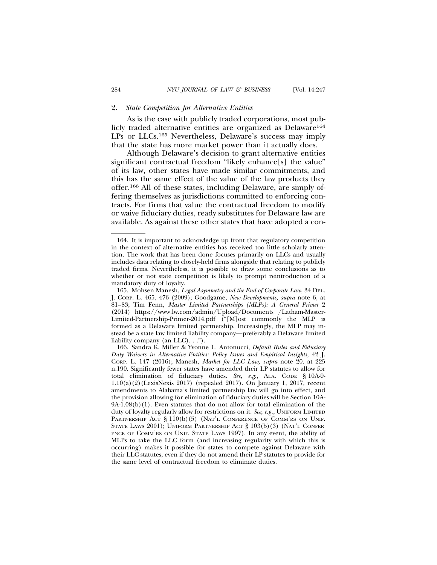### 2. *State Competition for Alternative Entities*

As is the case with publicly traded corporations, most publicly traded alternative entities are organized as Delaware<sup>164</sup> LPs or LLCs.165 Nevertheless, Delaware's success may imply that the state has more market power than it actually does.

Although Delaware's decision to grant alternative entities significant contractual freedom "likely enhance[s] the value" of its law, other states have made similar commitments, and this has the same effect of the value of the law products they offer.166 All of these states, including Delaware, are simply offering themselves as jurisdictions committed to enforcing contracts. For firms that value the contractual freedom to modify or waive fiduciary duties, ready substitutes for Delaware law are available. As against these other states that have adopted a con-

<sup>164.</sup> It is important to acknowledge up front that regulatory competition in the context of alternative entities has received too little scholarly attention. The work that has been done focuses primarily on LLCs and usually includes data relating to closely-held firms alongside that relating to publicly traded firms. Nevertheless, it is possible to draw some conclusions as to whether or not state competition is likely to prompt reintroduction of a mandatory duty of loyalty.

<sup>165.</sup> Mohsen Manesh, *Legal Asymmetry and the End of Corporate Law*, 34 DEL. J. CORP. L. 465, 476 (2009); Goodgame, *New Developments, supra* note 6, at 81–83; Tim Fenn, *Master Limited Partnerships (MLPs): A General Primer* 2 (2014) https://www.lw.com/admin/Upload/Documents /Latham-Master-Limited-Partnership-Primer-2014.pdf ("[M]ost commonly the MLP is formed as a Delaware limited partnership. Increasingly, the MLP may instead be a state law limited liability company—preferably a Delaware limited liability company (an LLC). . .").

<sup>166.</sup> Sandra K. Miller & Yvonne L. Antonucci, *Default Rules and Fiduciary Duty Waivers in Alternative Entities: Policy Issues and Empirical Insights*, 42 J. CORP. L. 147 (2016); Manesh, *Market for LLC Law, supra* note 20, at 225 n.190. Significantly fewer states have amended their LP statutes to allow for total elimination of fiduciary duties. *See, e.g.*, ALA. CODE § 10A-9- 1.10(a)(2)(LexisNexis 2017) (repealed 2017). On January 1, 2017, recent amendments to Alabama's limited partnership law will go into effect, and the provision allowing for elimination of fiduciary duties will be Section 10A-9A-1.08(b)(1). Even statutes that do not allow for total elimination of the duty of loyalty regularly allow for restrictions on it. *See, e.g.*, UNIFORM LIMITED PARTNERSHIP ACT § 110(b)(5) (NAT'L CONFERENCE OF COMM'RS ON UNIF. STATE LAWS 2001); UNIFORM PARTNERSHIP ACT § 103(b)(3) (NAT'L CONFER-ENCE OF COMM'RS ON UNIF. STATE LAWS 1997). In any event, the ability of MLPs to take the LLC form (and increasing regularity with which this is occurring) makes it possible for states to compete against Delaware with their LLC statutes, even if they do not amend their LP statutes to provide for the same level of contractual freedom to eliminate duties.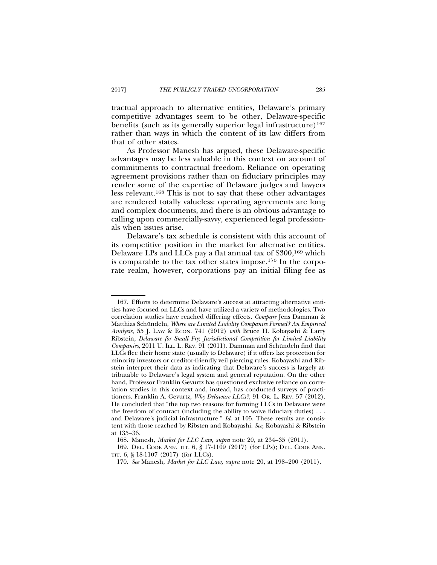tractual approach to alternative entities, Delaware's primary competitive advantages seem to be other, Delaware-specific benefits (such as its generally superior legal infrastructure)<sup>167</sup> rather than ways in which the content of its law differs from that of other states.

As Professor Manesh has argued, these Delaware-specific advantages may be less valuable in this context on account of commitments to contractual freedom. Reliance on operating agreement provisions rather than on fiduciary principles may render some of the expertise of Delaware judges and lawyers less relevant.168 This is not to say that these other advantages are rendered totally valueless: operating agreements are long and complex documents, and there is an obvious advantage to calling upon commercially-savvy, experienced legal professionals when issues arise.

Delaware's tax schedule is consistent with this account of its competitive position in the market for alternative entities. Delaware LPs and LLCs pay a flat annual tax of \$300,<sup>169</sup> which is comparable to the tax other states impose.170 In the corporate realm, however, corporations pay an initial filing fee as

<sup>167.</sup> Efforts to determine Delaware's success at attracting alternative entities have focused on LLCs and have utilized a variety of methodologies. Two correlation studies have reached differing effects. *Compare* Jens Damman & Matthias Schündeln, *Where are Limited Liability Companies Formed? An Empirical Analysis,* 55 J. LAW & ECON. 741 (2012) *with* Bruce H. Kobayashi & Larry Ribstein, *Delaware for Small Fry*: *Jurisdictional Competition for Limited Liability Companies*, 2011 U. ILL. L. REV. 91 (2011). Damman and Schündeln find that LLCs flee their home state (usually to Delaware) if it offers lax protection for minority investors or creditor-friendly veil piercing rules. Kobayashi and Ribstein interpret their data as indicating that Delaware's success is largely attributable to Delaware's legal system and general reputation. On the other hand, Professor Franklin Gevurtz has questioned exclusive reliance on correlation studies in this context and, instead, has conducted surveys of practitioners. Franklin A. Gevurtz, *Why Delaware LLCs?*, 91 OR. L. REV. 57 (2012). He concluded that "the top two reasons for forming LLCs in Delaware were the freedom of contract (including the ability to waive fiduciary duties) . . . and Delaware's judicial infrastructure." *Id.* at 105. These results are consistent with those reached by Ribsten and Kobayashi. *See,* Kobayashi & Ribstein at 135–36.

<sup>168.</sup> Manesh, *Market for LLC Law, supra* note 20, at 234–35 (2011).

<sup>169.</sup> DEL. CODE ANN. TIT. 6, § 17-1109 (2017) (for LPs); DEL. CODE ANN. TIT. 6, § 18-1107 (2017) (for LLCs).

<sup>170.</sup> *See* Manesh, *Market for LLC Law, supra* note 20, at 198–200 (2011).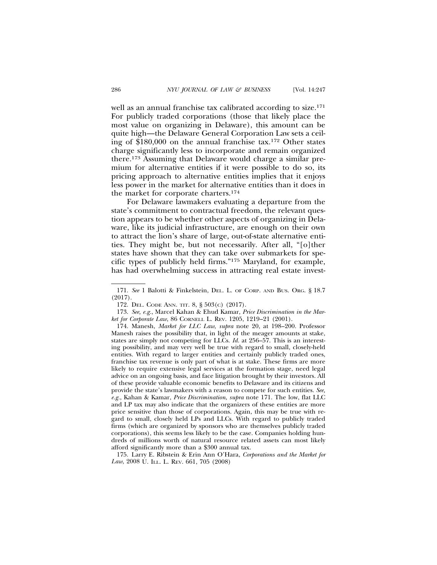well as an annual franchise tax calibrated according to size.<sup>171</sup> For publicly traded corporations (those that likely place the most value on organizing in Delaware), this amount can be quite high—the Delaware General Corporation Law sets a ceiling of \$180,000 on the annual franchise tax.172 Other states charge significantly less to incorporate and remain organized there.173 Assuming that Delaware would charge a similar premium for alternative entities if it were possible to do so, its pricing approach to alternative entities implies that it enjoys less power in the market for alternative entities than it does in the market for corporate charters.174

For Delaware lawmakers evaluating a departure from the state's commitment to contractual freedom, the relevant question appears to be whether other aspects of organizing in Delaware, like its judicial infrastructure, are enough on their own to attract the lion's share of large, out-of-state alternative entities. They might be, but not necessarily. After all, "[o]ther states have shown that they can take over submarkets for specific types of publicly held firms."175 Maryland, for example, has had overwhelming success in attracting real estate invest-

175. Larry E. Ribstein & Erin Ann O'Hara, *Corporations and the Market for Law*, 2008 U. ILL. L. REV. 661, 705 (2008)

<sup>171.</sup> *See* 1 Balotti & Finkelstein, DEL. L. OF CORP. AND BUS. ORG. § 18.7 (2017).

<sup>172.</sup> DEL. CODE ANN. TIT. 8, § 503(C) (2017).

<sup>173.</sup> *See, e.g.*, Marcel Kahan & Ehud Kamar, *Price Discrimination in the Market for Corporate Law*, 86 CORNELL L. REV. 1205, 1219–21 (2001).

<sup>174.</sup> Manesh, *Market for LLC Law*, *supra* note 20, at 198–200. Professor Manesh raises the possibility that, in light of the meager amounts at stake, states are simply not competing for LLCs. *Id.* at 256–57. This is an interesting possibility, and may very well be true with regard to small, closely-held entities. With regard to larger entities and certainly publicly traded ones, franchise tax revenue is only part of what is at stake. These firms are more likely to require extensive legal services at the formation stage, need legal advice on an ongoing basis, and face litigation brought by their investors. All of these provide valuable economic benefits to Delaware and its citizens and provide the state's lawmakers with a reason to compete for such entities. *See, e.g.*, Kahan & Kamar, *Price Discrimination*, *supra* note 171. The low, flat LLC and LP tax may also indicate that the organizers of these entities are more price sensitive than those of corporations. Again, this may be true with regard to small, closely held LPs and LLCs. With regard to publicly traded firms (which are organized by sponsors who are themselves publicly traded corporations), this seems less likely to be the case. Companies holding hundreds of millions worth of natural resource related assets can most likely afford significantly more than a \$300 annual tax.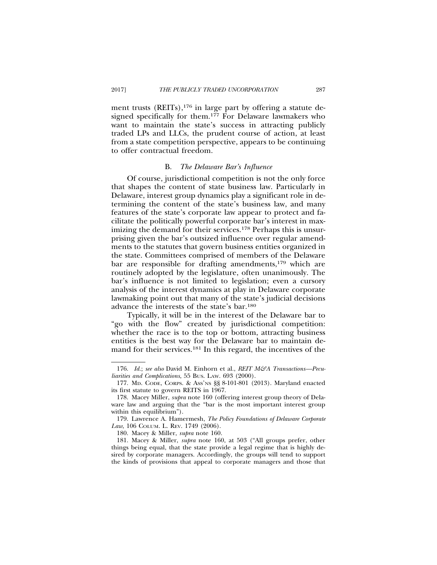ment trusts  $(REITs)$ ,<sup>176</sup> in large part by offering a statute designed specifically for them.<sup>177</sup> For Delaware lawmakers who want to maintain the state's success in attracting publicly traded LPs and LLCs, the prudent course of action, at least from a state competition perspective, appears to be continuing to offer contractual freedom.

### B. *The Delaware Bar's Influence*

Of course, jurisdictional competition is not the only force that shapes the content of state business law. Particularly in Delaware, interest group dynamics play a significant role in determining the content of the state's business law, and many features of the state's corporate law appear to protect and facilitate the politically powerful corporate bar's interest in maximizing the demand for their services.<sup>178</sup> Perhaps this is unsurprising given the bar's outsized influence over regular amendments to the statutes that govern business entities organized in the state. Committees comprised of members of the Delaware bar are responsible for drafting amendments,179 which are routinely adopted by the legislature, often unanimously. The bar's influence is not limited to legislation; even a cursory analysis of the interest dynamics at play in Delaware corporate lawmaking point out that many of the state's judicial decisions advance the interests of the state's bar.180

Typically, it will be in the interest of the Delaware bar to "go with the flow" created by jurisdictional competition: whether the race is to the top or bottom, attracting business entities is the best way for the Delaware bar to maintain demand for their services.181 In this regard, the incentives of the

<sup>176.</sup> *Id.*; *see also* David M. Einhorn et al., *REIT M&A Transactions—Peculiarities and Complications*, 55 BUS. LAW. 693 (2000).

<sup>177.</sup> MD. CODE, CORPS. & ASS'NS §§ 8-101-801 (2013). Maryland enacted its first statute to govern REITS in 1967.

<sup>178.</sup> Macey Miller, *supra* note 160 (offering interest group theory of Delaware law and arguing that the "bar is the most important interest group within this equilibrium").

<sup>179.</sup> Lawrence A. Hamermesh, *The Policy Foundations of Delaware Corporate* Law, 106 COLUM. L. REV. 1749 (2006).

<sup>180.</sup> Macey & Miller, *supra* note 160.

<sup>181.</sup> Macey & Miller, *supra* note 160, at 503 ("All groups prefer, other things being equal, that the state provide a legal regime that is highly desired by corporate managers. Accordingly, the groups will tend to support the kinds of provisions that appeal to corporate managers and those that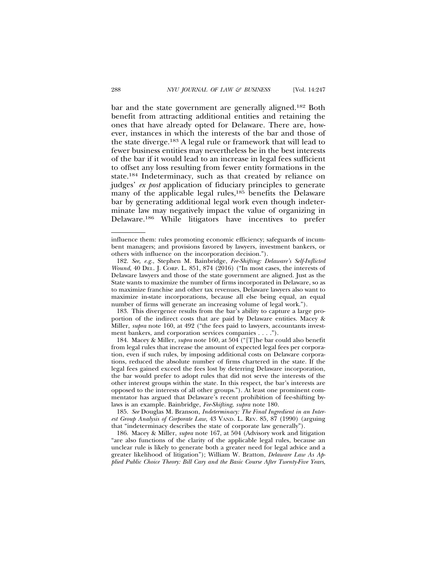bar and the state government are generally aligned.182 Both benefit from attracting additional entities and retaining the ones that have already opted for Delaware. There are, however, instances in which the interests of the bar and those of the state diverge.183 A legal rule or framework that will lead to fewer business entities may nevertheless be in the best interests of the bar if it would lead to an increase in legal fees sufficient to offset any loss resulting from fewer entity formations in the state.184 Indeterminacy, such as that created by reliance on judges' *ex post* application of fiduciary principles to generate many of the applicable legal rules,<sup>185</sup> benefits the Delaware bar by generating additional legal work even though indeterminate law may negatively impact the value of organizing in Delaware.186 While litigators have incentives to prefer

183. This divergence results from the bar's ability to capture a large proportion of the indirect costs that are paid by Delaware entities. Macey & Miller, *supra* note 160, at 492 ("the fees paid to lawyers, accountants investment bankers, and corporation services companies . . . .").

184. Macey & Miller, *supra* note 160, at 504 ("[T]he bar could also benefit from legal rules that increase the amount of expected legal fees per corporation, even if such rules, by imposing additional costs on Delaware corporations, reduced the absolute number of firms chartered in the state. If the legal fees gained exceed the fees lost by deterring Delaware incorporation, the bar would prefer to adopt rules that did not serve the interests of the other interest groups within the state. In this respect, the bar's interests are opposed to the interests of all other groups."). At least one prominent commentator has argued that Delaware's recent prohibition of fee-shifting bylaws is an example. Bainbridge, *Fee-Shifting*, *supra* note 180.

185. *See* Douglas M. Branson, *Indeterminacy: The Final Ingredient in an Interest Group Analysis of Corporate Law*, 43 VAND. L. REV. 85, 87 (1990) (arguing that "indeterminacy describes the state of corporate law generally").

186. Macey & Miller, *supra* note 167, at 504 (Advisory work and litigation "are also functions of the clarity of the applicable legal rules, because an unclear rule is likely to generate both a greater need for legal advice and a greater likelihood of litigation"); William W. Bratton, *Delaware Law As Applied Public Choice Theory: Bill Cary and the Basic Course After Twenty-Five Years*,

influence them: rules promoting economic efficiency; safeguards of incumbent managers; and provisions favored by lawyers, investment bankers, or others with influence on the incorporation decision.").

<sup>182.</sup> *See, e.g.*, Stephen M. Bainbridge, *Fee-Shifting: Delaware's Self-Inflicted Wound*, 40 DEL. J. CORP. L. 851, 874 (2016) ("In most cases, the interests of Delaware lawyers and those of the state government are aligned. Just as the State wants to maximize the number of firms incorporated in Delaware, so as to maximize franchise and other tax revenues, Delaware lawyers also want to maximize in-state incorporations, because all else being equal, an equal number of firms will generate an increasing volume of legal work.").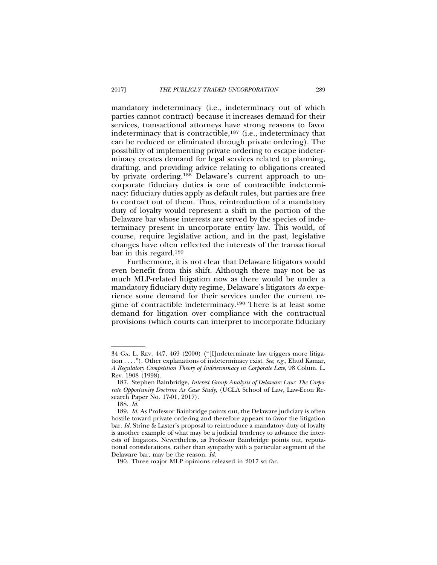mandatory indeterminacy (i.e., indeterminacy out of which parties cannot contract) because it increases demand for their services, transactional attorneys have strong reasons to favor indeterminacy that is contractible,187 (i.e., indeterminacy that can be reduced or eliminated through private ordering). The possibility of implementing private ordering to escape indeterminacy creates demand for legal services related to planning, drafting, and providing advice relating to obligations created by private ordering.<sup>188</sup> Delaware's current approach to uncorporate fiduciary duties is one of contractible indeterminacy: fiduciary duties apply as default rules, but parties are free to contract out of them. Thus, reintroduction of a mandatory duty of loyalty would represent a shift in the portion of the Delaware bar whose interests are served by the species of indeterminacy present in uncorporate entity law. This would, of course, require legislative action, and in the past, legislative changes have often reflected the interests of the transactional bar in this regard.189

Furthermore, it is not clear that Delaware litigators would even benefit from this shift. Although there may not be as much MLP-related litigation now as there would be under a mandatory fiduciary duty regime, Delaware's litigators *do* experience some demand for their services under the current regime of contractible indeterminacy.190 There is at least some demand for litigation over compliance with the contractual provisions (which courts can interpret to incorporate fiduciary

<sup>34</sup> GA. L. REV. 447, 469 (2000) ("[I]ndeterminate law triggers more litigation . . . ."). Other explanations of indeterminacy exist. *See, e.g.*, Ehud Kamar, *A Regulatory Competition Theory of Indeterminacy in Corporate Law*, 98 Colum. L. Rev. 1908 (1998).

<sup>187.</sup> Stephen Bainbridge, *Interest Group Analysis of Delaware Law: The Corpo*rate Opportunity Doctrine As Case Study, (UCLA School of Law, Law-Econ Research Paper No. 17-01, 2017).

<sup>188.</sup> *Id*.

<sup>189.</sup> *Id*. As Professor Bainbridge points out, the Delaware judiciary is often hostile toward private ordering and therefore appears to favor the litigation bar. *Id.* Strine & Laster's proposal to reintroduce a mandatory duty of loyalty is another example of what may be a judicial tendency to advance the interests of litigators. Nevertheless, as Professor Bainbridge points out, reputational considerations, rather than sympathy with a particular segment of the Delaware bar, may be the reason. *Id.*

<sup>190.</sup> Three major MLP opinions released in 2017 so far.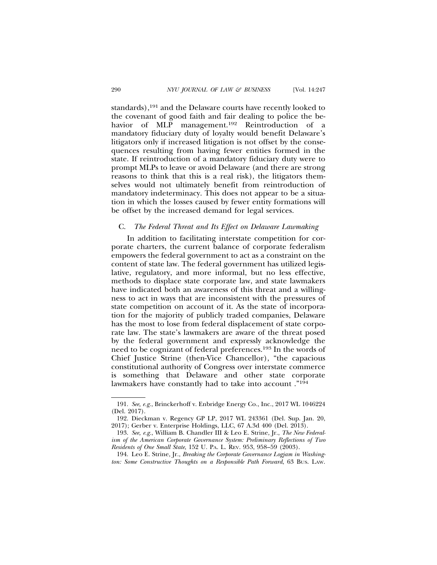standards),<sup>191</sup> and the Delaware courts have recently looked to the covenant of good faith and fair dealing to police the behavior of MLP management.<sup>192</sup> Reintroduction of a mandatory fiduciary duty of loyalty would benefit Delaware's litigators only if increased litigation is not offset by the consequences resulting from having fewer entities formed in the state. If reintroduction of a mandatory fiduciary duty were to prompt MLPs to leave or avoid Delaware (and there are strong reasons to think that this is a real risk), the litigators themselves would not ultimately benefit from reintroduction of mandatory indeterminacy. This does not appear to be a situation in which the losses caused by fewer entity formations will be offset by the increased demand for legal services.

### C. *The Federal Threat and Its Effect on Delaware Lawmaking*

In addition to facilitating interstate competition for corporate charters, the current balance of corporate federalism empowers the federal government to act as a constraint on the content of state law. The federal government has utilized legislative, regulatory, and more informal, but no less effective, methods to displace state corporate law, and state lawmakers have indicated both an awareness of this threat and a willingness to act in ways that are inconsistent with the pressures of state competition on account of it. As the state of incorporation for the majority of publicly traded companies, Delaware has the most to lose from federal displacement of state corporate law. The state's lawmakers are aware of the threat posed by the federal government and expressly acknowledge the need to be cognizant of federal preferences.193 In the words of Chief Justice Strine (then-Vice Chancellor), "the capacious constitutional authority of Congress over interstate commerce is something that Delaware and other state corporate lawmakers have constantly had to take into account ."194

<sup>191.</sup> *See, e.g.*, Brinckerhoff v. Enbridge Energy Co., Inc., 2017 WL 1046224 (Del. 2017).

<sup>192.</sup> Dieckman v. Regency GP LP, 2017 WL 243361 (Del. Sup. Jan. 20, 2017); Gerber v. Enterprise Holdings, LLC, 67 A.3d 400 (Del. 2013).

<sup>193.</sup> *See, e.g.*, William B. Chandler III & Leo E. Strine, Jr., *The New Federalism of the American Corporate Governance System: Preliminary Reflections of Two Residents of One Small State*, 152 U. PA. L. REV. 953, 958–59 (2003).

<sup>194.</sup> Leo E. Strine, Jr., *Breaking the Corporate Governance Logjam in Washington: Some Constructive Thoughts on a Responsible Path Forward*, 63 BUS. LAW.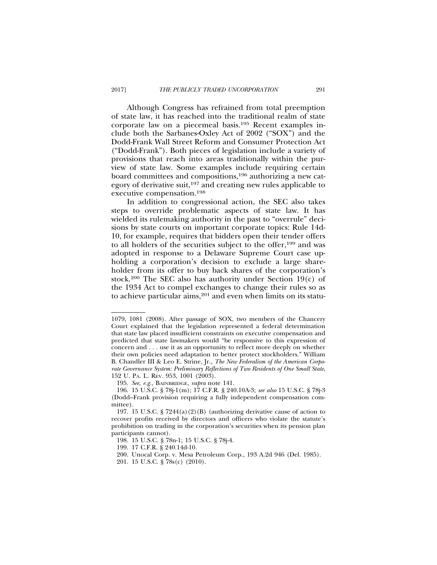Although Congress has refrained from total preemption of state law, it has reached into the traditional realm of state corporate law on a piecemeal basis.195 Recent examples include both the Sarbanes-Oxley Act of 2002 ("SOX") and the Dodd-Frank Wall Street Reform and Consumer Protection Act ("Dodd-Frank"). Both pieces of legislation include a variety of provisions that reach into areas traditionally within the purview of state law. Some examples include requiring certain board committees and compositions,196 authorizing a new category of derivative suit,197 and creating new rules applicable to executive compensation.198

In addition to congressional action, the SEC also takes steps to override problematic aspects of state law. It has wielded its rulemaking authority in the past to "overrule" decisions by state courts on important corporate topics: Rule 14d-10, for example, requires that bidders open their tender offers to all holders of the securities subject to the offer,199 and was adopted in response to a Delaware Supreme Court case upholding a corporation's decision to exclude a large shareholder from its offer to buy back shares of the corporation's stock.<sup>200</sup> The SEC also has authority under Section 19 $(c)$  of the 1934 Act to compel exchanges to change their rules so as to achieve particular aims, $201$  and even when limits on its statu-

<sup>1079, 1081 (2008).</sup> After passage of SOX, two members of the Chancery Court explained that the legislation represented a federal determination that state law placed insufficient constraints on executive compensation and predicted that state lawmakers would "be responsive to this expression of concern and . . . use it as an opportunity to reflect more deeply on whether their own policies need adaptation to better protect stockholders." William B. Chandler III & Leo E. Strine, Jr., *The New Federalism of the American Corporate Governance System: Preliminary Reflections of Two Residents of One Small State*, 152 U. PA. L. REV. 953, 1001 (2003).

<sup>195.</sup> *See, e.g.*, BAINBRIDGE, *supra* note 141.

<sup>196. 15</sup> U.S.C. § 78j-1(m); 17 C.F.R. § 240.10A-3; *see also* 15 U.S.C. § 78j-3 (Dodd–Frank provision requiring a fully independent compensation committee).

<sup>197. 15</sup> U.S.C. § 7244(a)(2)(B) (authorizing derivative cause of action to recover profits received by directors and officers who violate the statute's prohibition on trading in the corporation's securities when its pension plan participants cannot).

<sup>198. 15</sup> U.S.C. § 78n-1; 15 U.S.C. § 78j-4.

<sup>199. 17</sup> C.F.R. § 240.14d-10.

<sup>200.</sup> Unocal Corp. v. Mesa Petroleum Corp., 193 A.2d 946 (Del. 1985).

<sup>201. 15</sup> U.S.C. § 78s(c) (2010).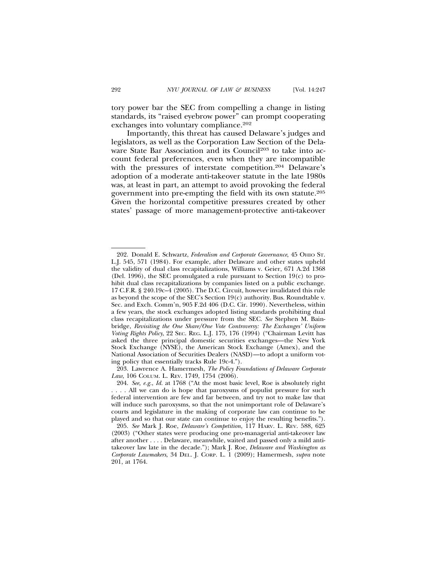tory power bar the SEC from compelling a change in listing standards, its "raised eyebrow power" can prompt cooperating exchanges into voluntary compliance.<sup>202</sup>

Importantly, this threat has caused Delaware's judges and legislators, as well as the Corporation Law Section of the Delaware State Bar Association and its Council<sup>203</sup> to take into account federal preferences, even when they are incompatible with the pressures of interstate competition.<sup>204</sup> Delaware's adoption of a moderate anti-takeover statute in the late 1980s was, at least in part, an attempt to avoid provoking the federal government into pre-empting the field with its own statute.205 Given the horizontal competitive pressures created by other states' passage of more management-protective anti-takeover

203. Lawrence A. Hamermesh, *The Policy Foundations of Delaware Corporate* Law, 106 COLUM. L. REV. 1749, 1754 (2006).

<sup>202.</sup> Donald E. Schwartz, *Federalism and Corporate Governance*, 45 OHIO ST. L.J. 545, 571 (1984). For example, after Delaware and other states upheld the validity of dual class recapitalizations, Williams v. Geier, 671 A.2d 1368 (Del. 1996), the SEC promulgated a rule pursuant to Section 19(c) to prohibit dual class recapitalizations by companies listed on a public exchange. 17 C.F.R. § 240.19c–4 (2005). The D.C. Circuit, however invalidated this rule as beyond the scope of the SEC's Section 19(c) authority. Bus. Roundtable v. Sec. and Exch. Comm'n, 905 F.2d 406 (D.C. Cir. 1990). Nevertheless, within a few years, the stock exchanges adopted listing standards prohibiting dual class recapitalizations under pressure from the SEC. *See* Stephen M. Bainbridge, *Revisiting the One Share/One Vote Controversy: The Exchanges' Uniform Voting Rights Policy*, 22 SEC. REG. L.J. 175, 176 (1994) ("Chairman Levitt has asked the three principal domestic securities exchanges—the New York Stock Exchange (NYSE), the American Stock Exchange (Amex), and the National Association of Securities Dealers (NASD)—to adopt a uniform voting policy that essentially tracks Rule 19c-4.").

<sup>204.</sup> *See, e.g.*, *Id.* at 1768 ("At the most basic level, Roe is absolutely right ... All we can do is hope that paroxysms of populist pressure for such federal intervention are few and far between, and try not to make law that will induce such paroxysms, so that the not unimportant role of Delaware's courts and legislature in the making of corporate law can continue to be played and so that our state can continue to enjoy the resulting benefits.").

<sup>205.</sup> *See* Mark J. Roe, *Delaware's Competition*, 117 HARV. L. REV. 588, 625 (2003) ("Other states were producing one pro-managerial anti-takeover law after another . . . . Delaware, meanwhile, waited and passed only a mild antitakeover law late in the decade."); Mark J. Roe, *Delaware and Washington as Corporate Lawmakers*, 34 DEL. J. CORP. L. 1 (2009); Hamermesh, *supra* note 201, at 1764.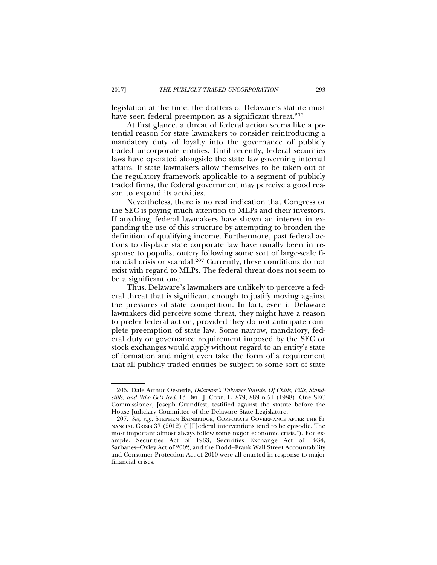legislation at the time, the drafters of Delaware's statute must have seen federal preemption as a significant threat.<sup>206</sup>

At first glance, a threat of federal action seems like a potential reason for state lawmakers to consider reintroducing a mandatory duty of loyalty into the governance of publicly traded uncorporate entities. Until recently, federal securities laws have operated alongside the state law governing internal affairs. If state lawmakers allow themselves to be taken out of the regulatory framework applicable to a segment of publicly traded firms, the federal government may perceive a good reason to expand its activities.

Nevertheless, there is no real indication that Congress or the SEC is paying much attention to MLPs and their investors. If anything, federal lawmakers have shown an interest in expanding the use of this structure by attempting to broaden the definition of qualifying income. Furthermore, past federal actions to displace state corporate law have usually been in response to populist outcry following some sort of large-scale financial crisis or scandal.207 Currently, these conditions do not exist with regard to MLPs. The federal threat does not seem to be a significant one.

Thus, Delaware's lawmakers are unlikely to perceive a federal threat that is significant enough to justify moving against the pressures of state competition. In fact, even if Delaware lawmakers did perceive some threat, they might have a reason to prefer federal action, provided they do not anticipate complete preemption of state law. Some narrow, mandatory, federal duty or governance requirement imposed by the SEC or stock exchanges would apply without regard to an entity's state of formation and might even take the form of a requirement that all publicly traded entities be subject to some sort of state

<sup>206.</sup> Dale Arthur Oesterle, *Delaware's Takeover Statute: Of Chills, Pills, Standstills, and Who Gets Iced*, 13 DEL. J. CORP. L. 879, 889 n.51 (1988). One SEC Commissioner, Joseph Grundfest, testified against the statute before the House Judiciary Committee of the Delaware State Legislature.

<sup>207.</sup> *See, e.g.*, STEPHEN BAINBRIDGE, CORPORATE GOVERNANCE AFTER THE FI-NANCIAL CRISIS 37 (2012) ("[F]ederal interventions tend to be episodic. The most important almost always follow some major economic crisis."). For example, Securities Act of 1933, Securities Exchange Act of 1934, Sarbanes–Oxley Act of 2002, and the Dodd–Frank Wall Street Accountability and Consumer Protection Act of 2010 were all enacted in response to major financial crises.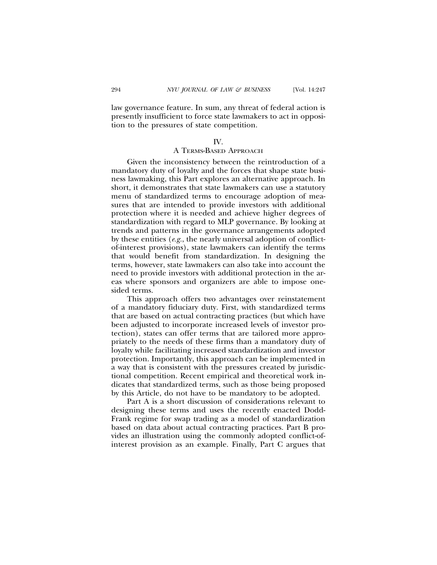law governance feature. In sum, any threat of federal action is presently insufficient to force state lawmakers to act in opposition to the pressures of state competition.

### IV.

### A TERMS-BASED APPROACH

Given the inconsistency between the reintroduction of a mandatory duty of loyalty and the forces that shape state business lawmaking, this Part explores an alternative approach. In short, it demonstrates that state lawmakers can use a statutory menu of standardized terms to encourage adoption of measures that are intended to provide investors with additional protection where it is needed and achieve higher degrees of standardization with regard to MLP governance. By looking at trends and patterns in the governance arrangements adopted by these entities (*e.g.*, the nearly universal adoption of conflictof-interest provisions), state lawmakers can identify the terms that would benefit from standardization. In designing the terms, however, state lawmakers can also take into account the need to provide investors with additional protection in the areas where sponsors and organizers are able to impose onesided terms.

This approach offers two advantages over reinstatement of a mandatory fiduciary duty. First, with standardized terms that are based on actual contracting practices (but which have been adjusted to incorporate increased levels of investor protection), states can offer terms that are tailored more appropriately to the needs of these firms than a mandatory duty of loyalty while facilitating increased standardization and investor protection. Importantly, this approach can be implemented in a way that is consistent with the pressures created by jurisdictional competition. Recent empirical and theoretical work indicates that standardized terms, such as those being proposed by this Article, do not have to be mandatory to be adopted.

Part A is a short discussion of considerations relevant to designing these terms and uses the recently enacted Dodd-Frank regime for swap trading as a model of standardization based on data about actual contracting practices. Part B provides an illustration using the commonly adopted conflict-ofinterest provision as an example. Finally, Part C argues that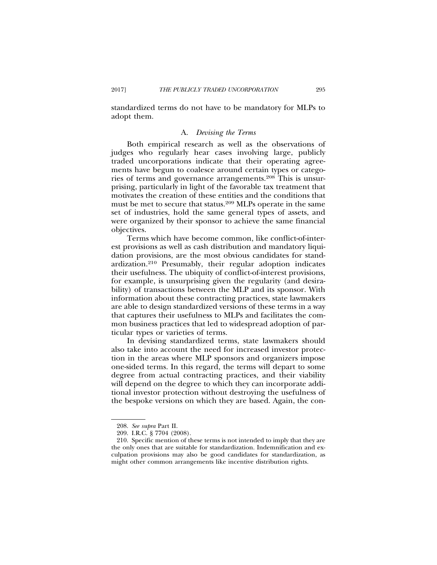standardized terms do not have to be mandatory for MLPs to adopt them.

### A. *Devising the Terms*

Both empirical research as well as the observations of judges who regularly hear cases involving large, publicly traded uncorporations indicate that their operating agreements have begun to coalesce around certain types or categories of terms and governance arrangements.208 This is unsurprising, particularly in light of the favorable tax treatment that motivates the creation of these entities and the conditions that must be met to secure that status.209 MLPs operate in the same set of industries, hold the same general types of assets, and were organized by their sponsor to achieve the same financial objectives.

Terms which have become common, like conflict-of-interest provisions as well as cash distribution and mandatory liquidation provisions, are the most obvious candidates for standardization.210 Presumably, their regular adoption indicates their usefulness. The ubiquity of conflict-of-interest provisions, for example, is unsurprising given the regularity (and desirability) of transactions between the MLP and its sponsor. With information about these contracting practices, state lawmakers are able to design standardized versions of these terms in a way that captures their usefulness to MLPs and facilitates the common business practices that led to widespread adoption of particular types or varieties of terms.

In devising standardized terms, state lawmakers should also take into account the need for increased investor protection in the areas where MLP sponsors and organizers impose one-sided terms. In this regard, the terms will depart to some degree from actual contracting practices, and their viability will depend on the degree to which they can incorporate additional investor protection without destroying the usefulness of the bespoke versions on which they are based. Again, the con-

<sup>208.</sup> *See supra* Part II.

<sup>209.</sup> I.R.C. § 7704 (2008).

<sup>210.</sup> Specific mention of these terms is not intended to imply that they are the only ones that are suitable for standardization. Indemnification and exculpation provisions may also be good candidates for standardization, as might other common arrangements like incentive distribution rights.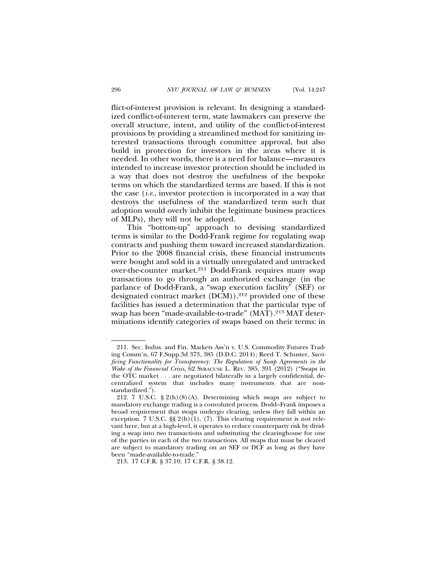flict-of-interest provision is relevant. In designing a standardized conflict-of-interest term, state lawmakers can preserve the overall structure, intent, and utility of the conflict-of-interest provisions by providing a streamlined method for sanitizing interested transactions through committee approval, but also build in protection for investors in the areas where it is needed. In other words, there is a need for balance—measures intended to increase investor protection should be included in a way that does not destroy the usefulness of the bespoke terms on which the standardized terms are based. If this is not the case (*i.e.*, investor protection is incorporated in a way that destroys the usefulness of the standardized term such that adoption would overly inhibit the legitimate business practices of MLPs), they will not be adopted.

This "bottom-up" approach to devising standardized terms is similar to the Dodd-Frank regime for regulating swap contracts and pushing them toward increased standardization. Prior to the 2008 financial crisis, these financial instruments were bought and sold in a virtually unregulated and untracked over-the-counter market.211 Dodd-Frank requires many swap transactions to go through an authorized exchange (in the parlance of Dodd-Frank, a "swap execution facility" (SEF) or designated contract market  $(DCM)$ ,<sup>212</sup> provided one of these facilities has issued a determination that the particular type of swap has been "made-available-to-trade" (MAT).213 MAT determinations identify categories of swaps based on their terms: in

<sup>211.</sup> Sec. Indus. and Fin. Markets Ass'n v. U.S. Commodity Futures Trading Comm'n, 67 F.Supp.3d 373, 385 (D.D.C. 2014); Reed T. Schuster, *Sacrificing Functionality for Transparency: The Regulation of Swap Agreements in the Wake of the Financial Crisis*, 62 SYRACUSE L. REV. 385, 391 (2012) ("Swaps in the OTC market . . . are negotiated bilaterally in a largely confidential, decentralized system that includes many instruments that are nonstandardized.").

<sup>212. 7</sup> U.S.C.  $\S 2(h)(8)(A)$ . Determining which swaps are subject to mandatory exchange trading is a convoluted process. Dodd–Frank imposes a broad requirement that swaps undergo clearing, unless they fall within an exception. 7 U.S.C. §§ 2(h)(1), (7). This clearing requirement is not relevant here, but at a high-level, it operates to reduce counterparty risk by dividing a swap into two transactions and substituting the clearinghouse for one of the parties in each of the two transactions. All swaps that must be cleared are subject to mandatory trading on an SEF or DCF as long as they have been "made-available-to-trade."

<sup>213. 17</sup> C.F.R. § 37.10; 17 C.F.R. § 38.12.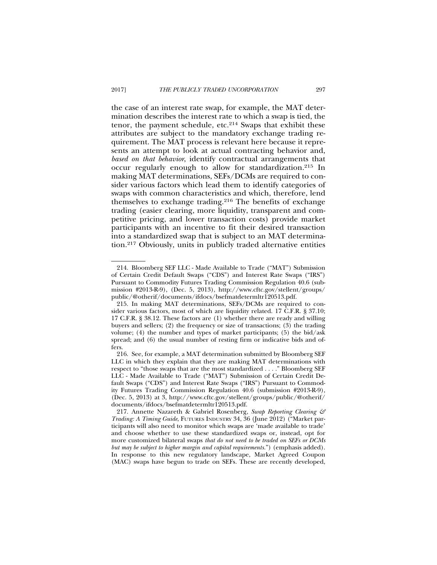the case of an interest rate swap, for example, the MAT determination describes the interest rate to which a swap is tied, the tenor, the payment schedule, etc.<sup>214</sup> Swaps that exhibit these attributes are subject to the mandatory exchange trading requirement. The MAT process is relevant here because it represents an attempt to look at actual contracting behavior and, *based on that behavior*, identify contractual arrangements that occur regularly enough to allow for standardization.215 In making MAT determinations, SEFs/DCMs are required to consider various factors which lead them to identify categories of swaps with common characteristics and which, therefore, lend themselves to exchange trading.216 The benefits of exchange trading (easier clearing, more liquidity, transparent and competitive pricing, and lower transaction costs) provide market participants with an incentive to fit their desired transaction into a standardized swap that is subject to an MAT determination.217 Obviously, units in publicly traded alternative entities

<sup>214.</sup> Bloomberg SEF LLC - Made Available to Trade ("MAT") Submission of Certain Credit Default Swaps ("CDS") and Interest Rate Swaps ("IRS") Pursuant to Commodity Futures Trading Commission Regulation 40.6 (submission #2013-R-9), (Dec. 5, 2013), http://www.cftc.gov/stellent/groups/ public/@otherif/documents/ifdocs/bsefmatdetermltr120513.pdf.

<sup>215.</sup> In making MAT determinations, SEFs/DCMs are required to consider various factors, most of which are liquidity related. 17 C.F.R. § 37.10; 17 C.F.R. § 38.12. These factors are (1) whether there are ready and willing buyers and sellers; (2) the frequency or size of transactions; (3) the trading volume; (4) the number and types of market participants; (5) the bid/ask spread; and (6) the usual number of resting firm or indicative bids and offers.

<sup>216.</sup> See, for example, a MAT determination submitted by Bloomberg SEF LLC in which they explain that they are making MAT determinations with respect to "those swaps that are the most standardized . . . ." Bloomberg SEF LLC - Made Available to Trade ("MAT") Submission of Certain Credit Default Swaps ("CDS") and Interest Rate Swaps ("IRS") Pursuant to Commodity Futures Trading Commission Regulation 40.6 (submission #2013-R-9), (Dec. 5, 2013) at 3, http://www.cftc.gov/stellent/groups/public/@otherif/ documents/ifdocs/bsefmatdetermltr120513.pdf.

<sup>217.</sup> Annette Nazareth & Gabriel Rosenberg, *Swap Reporting Clearing & Trading: A Timing Guide*, FUTURES INDUSTRY 34, 36 (June 2012) ("Market participants will also need to monitor which swaps are 'made available to trade' and choose whether to use these standardized swaps or, instead, opt for more customized bilateral swaps *that do not need to be traded on SEFs or DCMs but may be subject to higher margin and capital requirements.*") (emphasis added). In response to this new regulatory landscape, Market Agreed Coupon (MAC) swaps have begun to trade on SEFs. These are recently developed,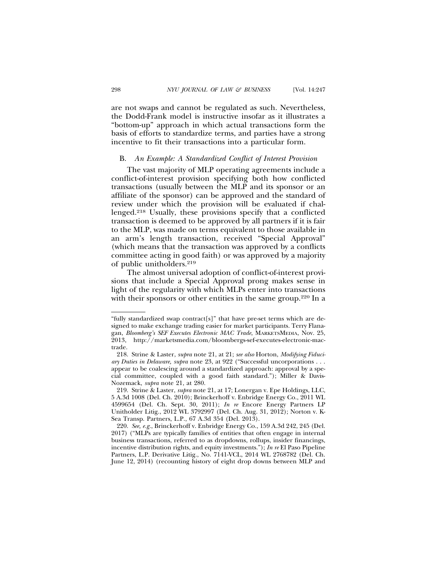are not swaps and cannot be regulated as such. Nevertheless, the Dodd-Frank model is instructive insofar as it illustrates a "bottom-up" approach in which actual transactions form the basis of efforts to standardize terms, and parties have a strong incentive to fit their transactions into a particular form.

### B. *An Example: A Standardized Conflict of Interest Provision*

The vast majority of MLP operating agreements include a conflict-of-interest provision specifying both how conflicted transactions (usually between the MLP and its sponsor or an affiliate of the sponsor) can be approved and the standard of review under which the provision will be evaluated if challenged.218 Usually, these provisions specify that a conflicted transaction is deemed to be approved by all partners if it is fair to the MLP, was made on terms equivalent to those available in an arm's length transaction, received "Special Approval" (which means that the transaction was approved by a conflicts committee acting in good faith) or was approved by a majority of public unitholders.219

The almost universal adoption of conflict-of-interest provisions that include a Special Approval prong makes sense in light of the regularity with which MLPs enter into transactions with their sponsors or other entities in the same group.<sup>220</sup> In a

<sup>&</sup>quot;fully standardized swap contract[s]" that have pre-set terms which are designed to make exchange trading easier for market participants. Terry Flanagan, *Bloomberg's SEF Executes Electronic MAC Trade*, MARKETSMEDIA, Nov. 25, 2013, http://marketsmedia.com/bloombergs-sef-executes-electronic-mactrade.

<sup>218.</sup> Strine & Laster, *supra* note 21, at 21; *see also* Horton, *Modifying Fiduciary Duties in Delaware, supra* note 23, at 922 ("Successful uncorporations . . . appear to be coalescing around a standardized approach: approval by a special committee, coupled with a good faith standard."); Miller & Davis-Nozemack, *supra* note 21, at 280.

<sup>219.</sup> Strine & Laster, *supra* note 21, at 17; Lonergan v. Epe Holdings, LLC, 5 A.3d 1008 (Del. Ch. 2010); Brinckerhoff v. Enbridge Energy Co., 2011 WL 4599654 (Del. Ch. Sept. 30, 2011); *In re* Encore Energy Partners LP Unitholder Litig., 2012 WL 3792997 (Del. Ch. Aug. 31, 2012); Norton v. K-Sea Transp. Partners, L.P., 67 A.3d 354 (Del. 2013).

<sup>220.</sup> *See, e.g.*, Brinckerhoff v. Enbridge Energy Co., 159 A.3d 242, 245 (Del. 2017) ("MLPs are typically families of entities that often engage in internal business transactions, referred to as dropdowns, rollups, insider financings, incentive distribution rights, and equity investments."); *In re* El Paso Pipeline Partners, L.P. Derivative Litig., No. 7141-VCL, 2014 WL 2768782 (Del. Ch. June 12, 2014) (recounting history of eight drop downs between MLP and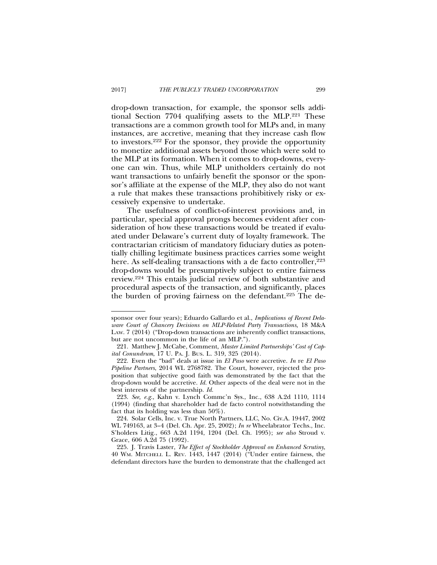drop-down transaction, for example, the sponsor sells additional Section 7704 qualifying assets to the MLP.221 These transactions are a common growth tool for MLPs and, in many instances, are accretive, meaning that they increase cash flow to investors.222 For the sponsor, they provide the opportunity to monetize additional assets beyond those which were sold to the MLP at its formation. When it comes to drop-downs, everyone can win. Thus, while MLP unitholders certainly do not want transactions to unfairly benefit the sponsor or the sponsor's affiliate at the expense of the MLP, they also do not want a rule that makes these transactions prohibitively risky or excessively expensive to undertake.

The usefulness of conflict-of-interest provisions and, in particular, special approval prongs becomes evident after consideration of how these transactions would be treated if evaluated under Delaware's current duty of loyalty framework. The contractarian criticism of mandatory fiduciary duties as potentially chilling legitimate business practices carries some weight here. As self-dealing transactions with a de facto controller,<sup>223</sup> drop-downs would be presumptively subject to entire fairness review.224 This entails judicial review of both substantive and procedural aspects of the transaction, and significantly, places the burden of proving fairness on the defendant.<sup>225</sup> The de-

sponsor over four years); Eduardo Gallardo et al., *Implications of Recent Delaware Court of Chancery Decisions on MLP-Related Party Transactions,* 18 M&A LAW. 7 (2014) ("Drop-down transactions are inherently conflict transactions, but are not uncommon in the life of an MLP.").

<sup>221.</sup> Matthew J. McCabe, Comment, *Master Limited Partnerships' Cost of Capital Conundrum*, 17 U. PA. J. BUS. L. 319, 325 (2014).

<sup>222.</sup> Even the "bad" deals at issue in *El Paso* were accretive. *In* re *El Paso Pipeline Partners*, 2014 WL 2768782. The Court, however, rejected the proposition that subjective good faith was demonstrated by the fact that the drop-down would be accretive. *Id.* Other aspects of the deal were not in the best interests of the partnership. *Id.*

<sup>223.</sup> *See, e.g.*, Kahn v. Lynch Commc'n Sys., Inc., 638 A.2d 1110, 1114 (1994) (finding that shareholder had de facto control notwithstanding the fact that its holding was less than 50%).

<sup>224.</sup> Solar Cells, Inc. v. True North Partners, LLC, No. Civ.A. 19447, 2002 WL 749163, at 3–4 (Del. Ch. Apr. 25, 2002); *In re* Wheelabrator Techs., Inc. S'holders Litig*.*, 663 A.2d 1194, 1204 (Del. Ch. 1995); *see also* Stroud v. Grace, 606 A.2d 75 (1992).

<sup>225.</sup> J. Travis Laster, *The Effect of Stockholder Approval on Enhanced Scrutiny*, 40 WM. MITCHELL L. REV. 1443, 1447 (2014) ("Under entire fairness, the defendant directors have the burden to demonstrate that the challenged act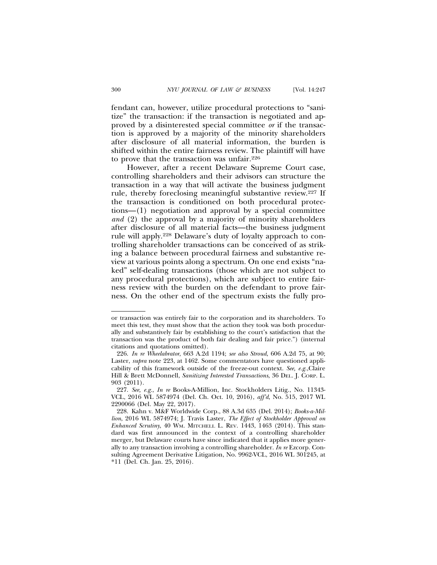fendant can, however, utilize procedural protections to "sanitize" the transaction: if the transaction is negotiated and approved by a disinterested special committee *or* if the transaction is approved by a majority of the minority shareholders after disclosure of all material information, the burden is shifted within the entire fairness review. The plaintiff will have to prove that the transaction was unfair.226

However, after a recent Delaware Supreme Court case, controlling shareholders and their advisors can structure the transaction in a way that will activate the business judgment rule, thereby foreclosing meaningful substantive review.227 If the transaction is conditioned on both procedural protections—(1) negotiation and approval by a special committee *and* (2) the approval by a majority of minority shareholders after disclosure of all material facts—the business judgment rule will apply.228 Delaware's duty of loyalty approach to controlling shareholder transactions can be conceived of as striking a balance between procedural fairness and substantive review at various points along a spectrum. On one end exists "naked" self-dealing transactions (those which are not subject to any procedural protections), which are subject to entire fairness review with the burden on the defendant to prove fairness. On the other end of the spectrum exists the fully pro-

or transaction was entirely fair to the corporation and its shareholders. To meet this test, they must show that the action they took was both procedurally and substantively fair by establishing to the court's satisfaction that the transaction was the product of both fair dealing and fair price.") (internal citations and quotations omitted).

<sup>226.</sup> *In re Wheelabrator*, 663 A.2d 1194; *see also Stroud*, 606 A.2d 75, at 90; Laster, *supra* note 223, at 1462. Some commentators have questioned applicability of this framework outside of the freeze-out context. *See, e.g.*,Claire Hill & Brett McDonnell, *Sanitizing Interested Transactions*, 36 DEL. J. CORP. L. 903 (2011).

<sup>227.</sup> *See, e.g.*, *In re* Books-A-Million, Inc. Stockholders Litig., No. 11343- VCL, 2016 WL 5874974 (Del. Ch. Oct. 10, 2016), *aff'd*, No. 515, 2017 WL 2290066 (Del. May 22, 2017).

<sup>228.</sup> Kahn v. M&F Worldwide Corp., 88 A.3d 635 (Del. 2014); *Books-a-Million*, 2016 WL 5874974; J. Travis Laster, *The Effect of Stockholder Approval on Enhanced Scrutiny*, 40 WM. MITCHELL L. REV. 1443, 1463 (2014). This standard was first announced in the context of a controlling shareholder merger, but Delaware courts have since indicated that it applies more generally to any transaction involving a controlling shareholder. *In re* Ezcorp. Consulting Agreement Derivative Litigation, No. 9962-VCL, 2016 WL 301245, at \*11 (Del. Ch. Jan. 25, 2016).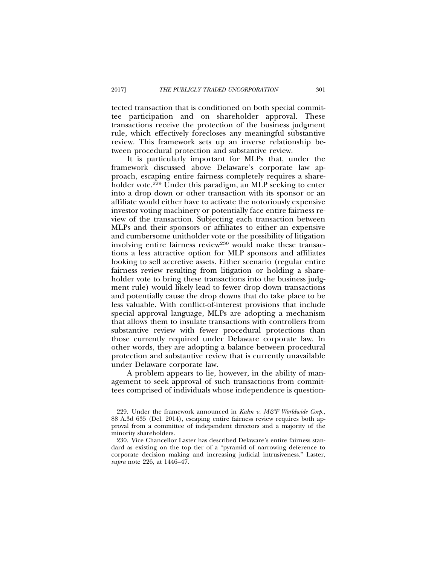tected transaction that is conditioned on both special committee participation and on shareholder approval. These transactions receive the protection of the business judgment rule, which effectively forecloses any meaningful substantive review. This framework sets up an inverse relationship between procedural protection and substantive review.

It is particularly important for MLPs that, under the framework discussed above Delaware's corporate law approach, escaping entire fairness completely requires a shareholder vote.<sup>229</sup> Under this paradigm, an MLP seeking to enter into a drop down or other transaction with its sponsor or an affiliate would either have to activate the notoriously expensive investor voting machinery or potentially face entire fairness review of the transaction. Subjecting each transaction between MLPs and their sponsors or affiliates to either an expensive and cumbersome unitholder vote or the possibility of litigation involving entire fairness review<sup>230</sup> would make these transactions a less attractive option for MLP sponsors and affiliates looking to sell accretive assets. Either scenario (regular entire fairness review resulting from litigation or holding a shareholder vote to bring these transactions into the business judgment rule) would likely lead to fewer drop down transactions and potentially cause the drop downs that do take place to be less valuable. With conflict-of-interest provisions that include special approval language, MLPs are adopting a mechanism that allows them to insulate transactions with controllers from substantive review with fewer procedural protections than those currently required under Delaware corporate law. In other words, they are adopting a balance between procedural protection and substantive review that is currently unavailable under Delaware corporate law.

A problem appears to lie, however, in the ability of management to seek approval of such transactions from committees comprised of individuals whose independence is question-

<sup>229.</sup> Under the framework announced in *Kahn v. M&F Worldwide Corp.*, 88 A.3d 635 (Del. 2014), escaping entire fairness review requires both approval from a committee of independent directors and a majority of the minority shareholders.

<sup>230.</sup> Vice Chancellor Laster has described Delaware's entire fairness standard as existing on the top tier of a "pyramid of narrowing deference to corporate decision making and increasing judicial intrusiveness." Laster, *supra* note 226, at 1446–47.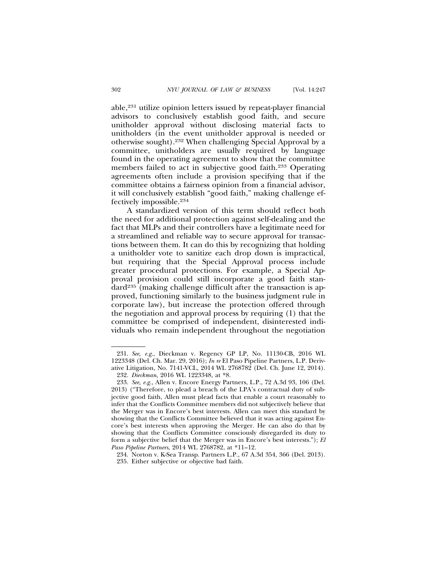able,231 utilize opinion letters issued by repeat-player financial advisors to conclusively establish good faith, and secure unitholder approval without disclosing material facts to unitholders (in the event unitholder approval is needed or otherwise sought).232 When challenging Special Approval by a committee, unitholders are usually required by language found in the operating agreement to show that the committee members failed to act in subjective good faith.<sup>233</sup> Operating agreements often include a provision specifying that if the committee obtains a fairness opinion from a financial advisor, it will conclusively establish "good faith," making challenge effectively impossible.234

A standardized version of this term should reflect both the need for additional protection against self-dealing and the fact that MLPs and their controllers have a legitimate need for a streamlined and reliable way to secure approval for transactions between them. It can do this by recognizing that holding a unitholder vote to sanitize each drop down is impractical, but requiring that the Special Approval process include greater procedural protections. For example, a Special Approval provision could still incorporate a good faith standard235 (making challenge difficult after the transaction is approved, functioning similarly to the business judgment rule in corporate law), but increase the protection offered through the negotiation and approval process by requiring (1) that the committee be comprised of independent, disinterested individuals who remain independent throughout the negotiation

<sup>231.</sup> *See, e.g.*, Dieckman v. Regency GP LP, No. 11130-CB, 2016 WL 1223348 (Del. Ch. Mar. 29, 2016); *In re* El Paso Pipeline Partners, L.P. Derivative Litigation, No. 7141-VCL, 2014 WL 2768782 (Del. Ch. June 12, 2014).

<sup>232.</sup> *Dieckman*, 2016 WL 1223348, at \*8.

<sup>233.</sup> *See, e.g.*, Allen v. Encore Energy Partners, L.P., 72 A.3d 93, 106 (Del. 2013) ("Therefore, to plead a breach of the LPA's contractual duty of subjective good faith, Allen must plead facts that enable a court reasonably to infer that the Conflicts Committee members did not subjectively believe that the Merger was in Encore's best interests. Allen can meet this standard by showing that the Conflicts Committee believed that it was acting against Encore's best interests when approving the Merger. He can also do that by showing that the Conflicts Committee consciously disregarded its duty to form a subjective belief that the Merger was in Encore's best interests."); *El Paso Pipeline Partners*, 2014 WL 2768782, at \*11–12.

<sup>234.</sup> Norton v. K-Sea Transp. Partners L.P., 67 A.3d 354, 366 (Del. 2013).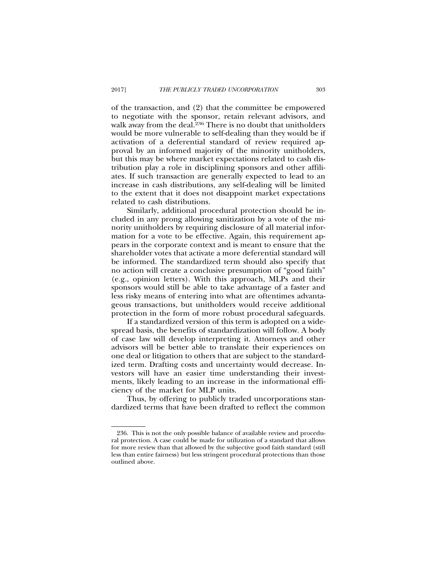of the transaction, and (2) that the committee be empowered to negotiate with the sponsor, retain relevant advisors, and walk away from the deal.<sup>236</sup> There is no doubt that unitholders would be more vulnerable to self-dealing than they would be if activation of a deferential standard of review required approval by an informed majority of the minority unitholders, but this may be where market expectations related to cash distribution play a role in disciplining sponsors and other affiliates. If such transaction are generally expected to lead to an increase in cash distributions, any self-dealing will be limited to the extent that it does not disappoint market expectations related to cash distributions.

Similarly, additional procedural protection should be included in any prong allowing sanitization by a vote of the minority unitholders by requiring disclosure of all material information for a vote to be effective. Again, this requirement appears in the corporate context and is meant to ensure that the shareholder votes that activate a more deferential standard will be informed. The standardized term should also specify that no action will create a conclusive presumption of "good faith" (e.g., opinion letters). With this approach, MLPs and their sponsors would still be able to take advantage of a faster and less risky means of entering into what are oftentimes advantageous transactions, but unitholders would receive additional protection in the form of more robust procedural safeguards.

If a standardized version of this term is adopted on a widespread basis, the benefits of standardization will follow. A body of case law will develop interpreting it. Attorneys and other advisors will be better able to translate their experiences on one deal or litigation to others that are subject to the standardized term. Drafting costs and uncertainty would decrease. Investors will have an easier time understanding their investments, likely leading to an increase in the informational efficiency of the market for MLP units.

Thus, by offering to publicly traded uncorporations standardized terms that have been drafted to reflect the common

<sup>236.</sup> This is not the only possible balance of available review and procedural protection. A case could be made for utilization of a standard that allows for more review than that allowed by the subjective good faith standard (still less than entire fairness) but less stringent procedural protections than those outlined above.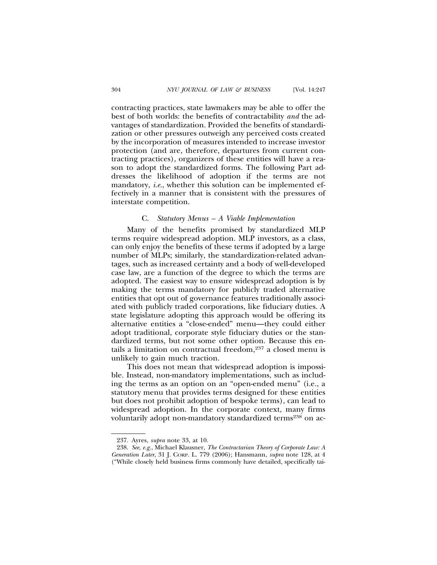contracting practices, state lawmakers may be able to offer the best of both worlds: the benefits of contractability *and* the advantages of standardization. Provided the benefits of standardization or other pressures outweigh any perceived costs created by the incorporation of measures intended to increase investor protection (and are, therefore, departures from current contracting practices), organizers of these entities will have a reason to adopt the standardized forms. The following Part addresses the likelihood of adoption if the terms are not mandatory, *i.e.*, whether this solution can be implemented effectively in a manner that is consistent with the pressures of interstate competition.

### C. *Statutory Menus – A Viable Implementation*

Many of the benefits promised by standardized MLP terms require widespread adoption. MLP investors, as a class, can only enjoy the benefits of these terms if adopted by a large number of MLPs; similarly, the standardization-related advantages, such as increased certainty and a body of well-developed case law, are a function of the degree to which the terms are adopted. The easiest way to ensure widespread adoption is by making the terms mandatory for publicly traded alternative entities that opt out of governance features traditionally associated with publicly traded corporations, like fiduciary duties. A state legislature adopting this approach would be offering its alternative entities a "close-ended" menu—they could either adopt traditional, corporate style fiduciary duties or the standardized terms, but not some other option. Because this entails a limitation on contractual freedom,237 a closed menu is unlikely to gain much traction.

This does not mean that widespread adoption is impossible. Instead, non-mandatory implementations, such as including the terms as an option on an "open-ended menu" (i.e., a statutory menu that provides terms designed for these entities but does not prohibit adoption of bespoke terms), can lead to widespread adoption. In the corporate context, many firms voluntarily adopt non-mandatory standardized terms<sup>238</sup> on ac-

<sup>237.</sup> Ayres, *supra* note 33, at 10.

<sup>238.</sup> *See, e.g.*, Michael Klausner, *The Contractarian Theory of Corporate Law: A Generation Later*, 31 J. CORP. L. 779 (2006); Hansmann, *supra* note 128, at 4 ("While closely held business firms commonly have detailed, specifically tai-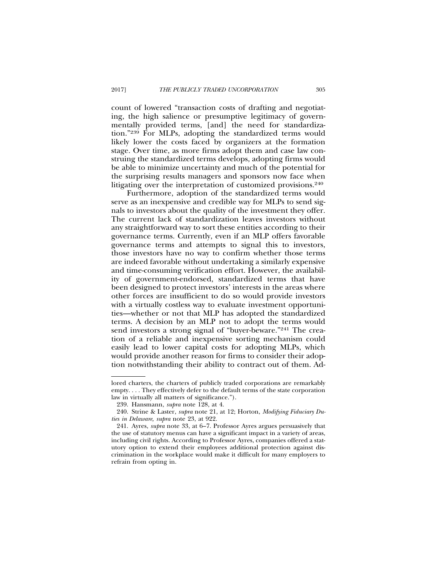count of lowered "transaction costs of drafting and negotiating, the high salience or presumptive legitimacy of governmentally provided terms, [and] the need for standardization."239 For MLPs, adopting the standardized terms would likely lower the costs faced by organizers at the formation stage. Over time, as more firms adopt them and case law construing the standardized terms develops, adopting firms would be able to minimize uncertainty and much of the potential for the surprising results managers and sponsors now face when litigating over the interpretation of customized provisions.<sup>240</sup>

Furthermore, adoption of the standardized terms would serve as an inexpensive and credible way for MLPs to send signals to investors about the quality of the investment they offer. The current lack of standardization leaves investors without any straightforward way to sort these entities according to their governance terms. Currently, even if an MLP offers favorable governance terms and attempts to signal this to investors, those investors have no way to confirm whether those terms are indeed favorable without undertaking a similarly expensive and time-consuming verification effort. However, the availability of government-endorsed, standardized terms that have been designed to protect investors' interests in the areas where other forces are insufficient to do so would provide investors with a virtually costless way to evaluate investment opportunities—whether or not that MLP has adopted the standardized terms. A decision by an MLP not to adopt the terms would send investors a strong signal of "buyer-beware."241 The creation of a reliable and inexpensive sorting mechanism could easily lead to lower capital costs for adopting MLPs, which would provide another reason for firms to consider their adoption notwithstanding their ability to contract out of them. Ad-

lored charters, the charters of publicly traded corporations are remarkably empty. . . . They effectively defer to the default terms of the state corporation law in virtually all matters of significance.").

<sup>239.</sup> Hansmann, *supra* note 128, at 4.

<sup>240.</sup> Strine & Laster, *supra* note 21, at 12; Horton, *Modifying Fiduciary Duties in Delaware, supra* note 23, at 922.

<sup>241.</sup> Ayres, *supra* note 33, at 6–7. Professor Ayres argues persuasively that the use of statutory menus can have a significant impact in a variety of areas, including civil rights. According to Professor Ayres, companies offered a statutory option to extend their employees additional protection against discrimination in the workplace would make it difficult for many employers to refrain from opting in.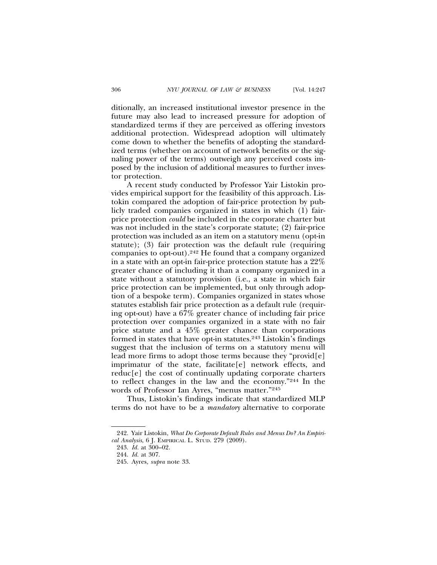ditionally, an increased institutional investor presence in the future may also lead to increased pressure for adoption of standardized terms if they are perceived as offering investors additional protection. Widespread adoption will ultimately come down to whether the benefits of adopting the standardized terms (whether on account of network benefits or the signaling power of the terms) outweigh any perceived costs imposed by the inclusion of additional measures to further investor protection.

A recent study conducted by Professor Yair Listokin provides empirical support for the feasibility of this approach. Listokin compared the adoption of fair-price protection by publicly traded companies organized in states in which (1) fairprice protection *could* be included in the corporate charter but was not included in the state's corporate statute; (2) fair-price protection was included as an item on a statutory menu (opt-in statute); (3) fair protection was the default rule (requiring companies to opt-out).242 He found that a company organized in a state with an opt-in fair-price protection statute has a 22% greater chance of including it than a company organized in a state without a statutory provision (i.e., a state in which fair price protection can be implemented, but only through adoption of a bespoke term). Companies organized in states whose statutes establish fair price protection as a default rule (requiring opt-out) have a 67% greater chance of including fair price protection over companies organized in a state with no fair price statute and a 45% greater chance than corporations formed in states that have opt-in statutes.243 Listokin's findings suggest that the inclusion of terms on a statutory menu will lead more firms to adopt those terms because they "provid[e] imprimatur of the state, facilitate[e] network effects, and reduc[e] the cost of continually updating corporate charters to reflect changes in the law and the economy."244 In the words of Professor Ian Ayres, "menus matter."245

Thus, Listokin's findings indicate that standardized MLP terms do not have to be a *mandatory* alternative to corporate

<sup>242.</sup> Yair Listokin, *What Do Corporate Default Rules and Menus Do? An Empirical Analysis*, 6 J. EMPIRICAL L. STUD. 279 (2009).

<sup>243.</sup> *Id.* at 300–02.

<sup>244.</sup> *Id.* at 307.

<sup>245.</sup> Ayres, *supra* note 33.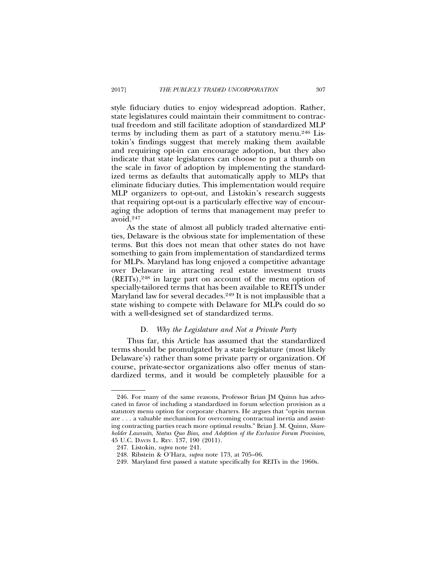style fiduciary duties to enjoy widespread adoption. Rather, state legislatures could maintain their commitment to contractual freedom and still facilitate adoption of standardized MLP terms by including them as part of a statutory menu.246 Listokin's findings suggest that merely making them available and requiring opt-in can encourage adoption, but they also indicate that state legislatures can choose to put a thumb on the scale in favor of adoption by implementing the standardized terms as defaults that automatically apply to MLPs that eliminate fiduciary duties. This implementation would require MLP organizers to opt-out, and Listokin's research suggests that requiring opt-out is a particularly effective way of encouraging the adoption of terms that management may prefer to avoid.247

As the state of almost all publicly traded alternative entities, Delaware is the obvious state for implementation of these terms. But this does not mean that other states do not have something to gain from implementation of standardized terms for MLPs. Maryland has long enjoyed a competitive advantage over Delaware in attracting real estate investment trusts (REITs),248 in large part on account of the menu option of specially-tailored terms that has been available to REITS under Maryland law for several decades.<sup>249</sup> It is not implausible that a state wishing to compete with Delaware for MLPs could do so with a well-designed set of standardized terms.

### D. *Why the Legislature and Not a Private Party*

Thus far, this Article has assumed that the standardized terms should be promulgated by a state legislature (most likely Delaware's) rather than some private party or organization. Of course, private-sector organizations also offer menus of standardized terms, and it would be completely plausible for a

<sup>246.</sup> For many of the same reasons, Professor Brian JM Quinn has advocated in favor of including a standardized in forum selection provision as a statutory menu option for corporate charters. He argues that "opt-in menus are . . . a valuable mechanism for overcoming contractual inertia and assisting contracting parties reach more optimal results." Brian J. M. Quinn, *Shareholder Lawsuits, Status Quo Bias, and Adoption of the Exclusive Forum Provision*, 45 U.C. DAVIS L. REV. 137, 190 (2011).

<sup>247.</sup> Listokin, *supra* note 241.

<sup>248.</sup> Ribstein & O'Hara, *supra* note 173, at 705–06.

<sup>249.</sup> Maryland first passed a statute specifically for REITs in the 1960s.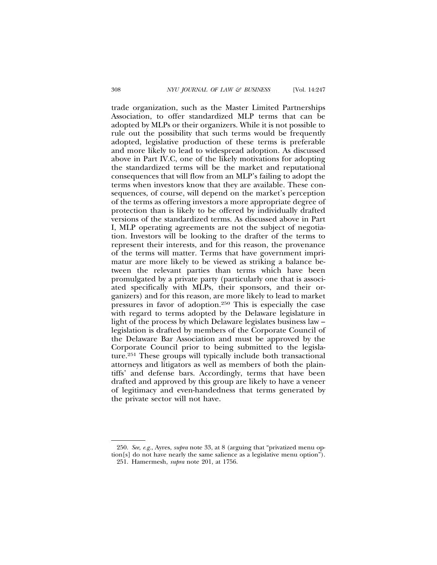trade organization, such as the Master Limited Partnerships Association, to offer standardized MLP terms that can be adopted by MLPs or their organizers. While it is not possible to rule out the possibility that such terms would be frequently adopted, legislative production of these terms is preferable and more likely to lead to widespread adoption. As discussed above in Part IV.C, one of the likely motivations for adopting the standardized terms will be the market and reputational consequences that will flow from an MLP's failing to adopt the terms when investors know that they are available. These consequences, of course, will depend on the market's perception of the terms as offering investors a more appropriate degree of protection than is likely to be offered by individually drafted versions of the standardized terms. As discussed above in Part I, MLP operating agreements are not the subject of negotiation. Investors will be looking to the drafter of the terms to represent their interests, and for this reason, the provenance of the terms will matter. Terms that have government imprimatur are more likely to be viewed as striking a balance between the relevant parties than terms which have been promulgated by a private party (particularly one that is associated specifically with MLPs, their sponsors, and their organizers) and for this reason, are more likely to lead to market pressures in favor of adoption.250 This is especially the case with regard to terms adopted by the Delaware legislature in light of the process by which Delaware legislates business law – legislation is drafted by members of the Corporate Council of the Delaware Bar Association and must be approved by the Corporate Council prior to being submitted to the legislature.251 These groups will typically include both transactional attorneys and litigators as well as members of both the plaintiffs' and defense bars. Accordingly, terms that have been drafted and approved by this group are likely to have a veneer of legitimacy and even-handedness that terms generated by the private sector will not have.

<sup>250.</sup> *See, e.g.*, Ayres, *supra* note 33, at 8 (arguing that "privatized menu option[s] do not have nearly the same salience as a legislative menu option").

<sup>251.</sup> Hamermesh, *supra* note 201, at 1756.